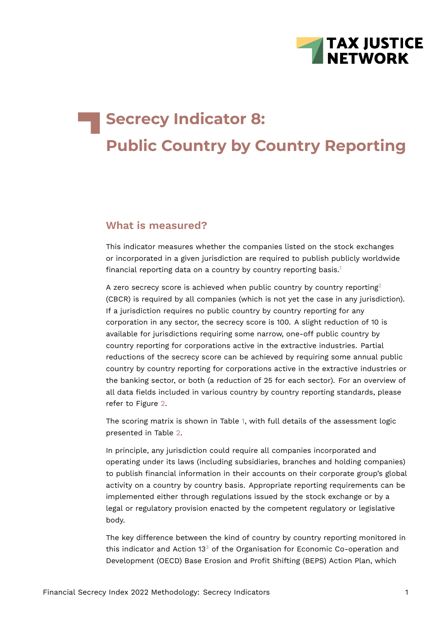<span id="page-0-1"></span>

# **Secrecy Indicator 8: Public Country by Country Reporting**

## **What is measured?**

This indicator measures whether the companies listed on the stock exchanges or incorporated in a given jurisdiction are required to publish publicly worldwide financial reporting data on a country by country reporting basis.<sup>[1](#page-15-0)</sup>

<span id="page-0-0"></span>A zero secrecy score is achieved when public country by country reporting<sup>[2](#page-15-1)</sup> (CBCR) is required by all companies (which is not yet the case in any jurisdiction). If a jurisdiction requires no public country by country reporting for any corporation in any sector, the secrecy score is 100. A slight reduction of 10 is available for jurisdictions requiring some narrow, one-off public country by country reporting for corporations active in the extractive industries. Partial reductions of the secrecy score can be achieved by requiring some annual public country by country reporting for corporations active in the extractive industries or the banking sector, or both (a reduction of 25 for each sector). For an overview of all data fields included in various country by country reporting standards, please refer to Figure [2.](#page-12-0)

The scoring matrix is shown in Table [1](#page-1-0), with full details of the assessment logic presented in Table [2](#page-11-0).

In principle, any jurisdiction could require all companies incorporated and operating under its laws (including subsidiaries, branches and holding companies) to publish financial information in their accounts on their corporate group's global activity on a country by country basis. Appropriate reporting requirements can be implemented either through regulations issued by the stock exchange or by a legal or regulatory provision enacted by the competent regulatory or legislative body.

<span id="page-0-2"></span>The key difference between the kind of country by country reporting monitored in this indicator and Action 1[3](#page-15-2) $3$  of the Organisation for Economic Co-operation and Development (OECD) Base Erosion and Profit Shifting (BEPS) Action Plan, which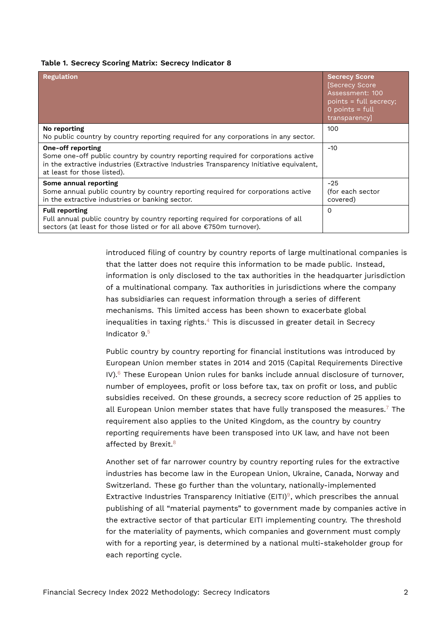#### <span id="page-1-0"></span>**Table 1. Secrecy Scoring Matrix: Secrecy Indicator 8**

| <b>Regulation</b>                                                                                                                                                                                                                       | <b>Secrecy Score</b><br><b>Secrecy Score</b><br>Assessment: 100<br>points = full secrecy;<br>$0$ points = full<br>transparency] |
|-----------------------------------------------------------------------------------------------------------------------------------------------------------------------------------------------------------------------------------------|---------------------------------------------------------------------------------------------------------------------------------|
| No reporting<br>No public country by country reporting required for any corporations in any sector.                                                                                                                                     | 100                                                                                                                             |
| <b>One-off reporting</b><br>Some one-off public country by country reporting required for corporations active<br>in the extractive industries (Extractive Industries Transparency Initiative equivalent,<br>at least for those listed). | $-10$                                                                                                                           |
| Some annual reporting<br>Some annual public country by country reporting required for corporations active<br>in the extractive industries or banking sector.                                                                            | $-25$<br>(for each sector<br>covered)                                                                                           |
| <b>Full reporting</b><br>Full annual public country by country reporting required for corporations of all<br>sectors (at least for those listed or for all above €750m turnover).                                                       | $\Omega$                                                                                                                        |

introduced filing of country by country reports of large multinational companies is that the latter does not require this information to be made public. Instead, information is only disclosed to the tax authorities in the headquarter jurisdiction of a multinational company. Tax authorities in jurisdictions where the company has subsidiaries can request information through a series of different mechanisms. This limited access has been shown to exacerbate global inequalities in taxing rights. $4$  This is discussed in greater detail in Secrecy Indicator 9.[5](#page-15-4)

<span id="page-1-3"></span><span id="page-1-2"></span><span id="page-1-1"></span>Public country by country reporting for financial institutions was introduced by European Union member states in 2014 and 2015 (Capital Requirements Directive  $IV$ ).<sup>[6](#page-15-5)</sup> These European Union rules for banks include annual disclosure of turnover, number of employees, profit or loss before tax, tax on profit or loss, and public subsidies received. On these grounds, a secrecy score reduction of 25 applies to all European Union member states that have fully transposed the measures.<sup>[7](#page-15-6)</sup> The requirement also applies to the United Kingdom, as the country by country reporting requirements have been transposed into UK law, and have not been affected by Brexit.<sup>[8](#page-15-7)</sup>

<span id="page-1-6"></span><span id="page-1-5"></span><span id="page-1-4"></span>Another set of far narrower country by country reporting rules for the extractive industries has become law in the European Union, Ukraine, Canada, Norway and Switzerland. These go further than the voluntary, nationally-implemented Extractive Industries Transparency Initiative (EITI)<sup>[9](#page-15-8)</sup>, which prescribes the annual publishing of all "material payments" to government made by companies active in the extractive sector of that particular EITI implementing country. The threshold for the materiality of payments, which companies and government must comply with for a reporting year, is determined by a national multi-stakeholder group for each reporting cycle.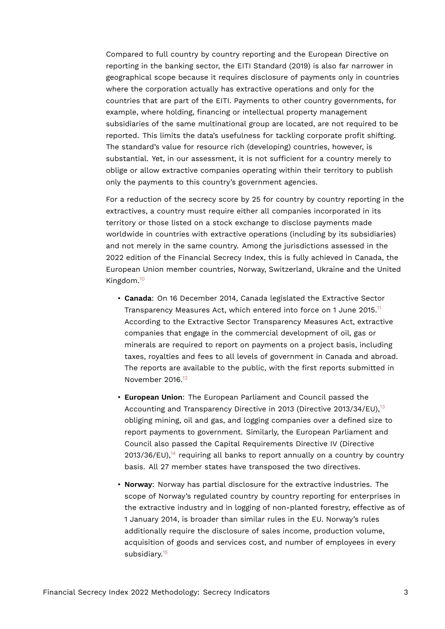Compared to full country by country reporting and the European Directive on reporting in the banking sector, the EITI Standard (2019) is also far narrower in geographical scope because it requires disclosure of payments only in countries where the corporation actually has extractive operations and only for the countries that are part of the EITI. Payments to other country governments, for example, where holding, financing or intellectual property management subsidiaries of the same multinational group are located, are not required to be reported. This limits the data's usefulness for tackling corporate profit shifting. The standard's value for resource rich (developing) countries, however, is substantial. Yet, in our assessment, it is not sufficient for a country merely to oblige or allow extractive companies operating within their territory to publish only the payments to this country's government agencies.

For a reduction of the secrecy score by 25 for country by country reporting in the extractives, a country must require either all companies incorporated in its territory or those listed on a stock exchange to disclose payments made worldwide in countries with extractive operations (including by its subsidiaries) and not merely in the same country. Among the jurisdictions assessed in the 2022 edition of the Financial Secrecy Index, this is fully achieved in Canada, the European Union member countries, Norway, Switzerland, Ukraine and the United Kingdom.[10](#page-16-0)

- <span id="page-2-1"></span><span id="page-2-0"></span>• **Canada**: On 16 December 2014, Canada legislated the Extractive Sector Transparency Measures Act, which entered into force on 1 June 2015.<sup>[11](#page-16-1)</sup> According to the Extractive Sector Transparency Measures Act, extractive companies that engage in the commercial development of oil, gas or minerals are required to report on payments on a project basis, including taxes, royalties and fees to all levels of government in Canada and abroad. The reports are available to the public, with the first reports submitted in November 2016.<sup>[12](#page-16-2)</sup>
- <span id="page-2-3"></span><span id="page-2-2"></span>• **European Union**: The European Parliament and Council passed the Accounting and Transparency Directive in 20[13](#page-16-3) (Directive 2013/34/EU), $^{13}$ obliging mining, oil and gas, and logging companies over a defined size to report payments to government. Similarly, the European Parliament and Council also passed the Capital Requirements Directive IV (Directive  $2013/36$ /EU), $^{14}$  $^{14}$  $^{14}$  requiring all banks to report annually on a country by country basis. All 27 member states have transposed the two directives.
- <span id="page-2-5"></span><span id="page-2-4"></span>• **Norway**: Norway has partial disclosure for the extractive industries. The scope of Norway's regulated country by country reporting for enterprises in the extractive industry and in logging of non-planted forestry, effective as of 1 January 2014, is broader than similar rules in the EU. Norway's rules additionally require the disclosure of sales income, production volume, acquisition of goods and services cost, and number of employees in every subsidiary.<sup>[15](#page-16-5)</sup>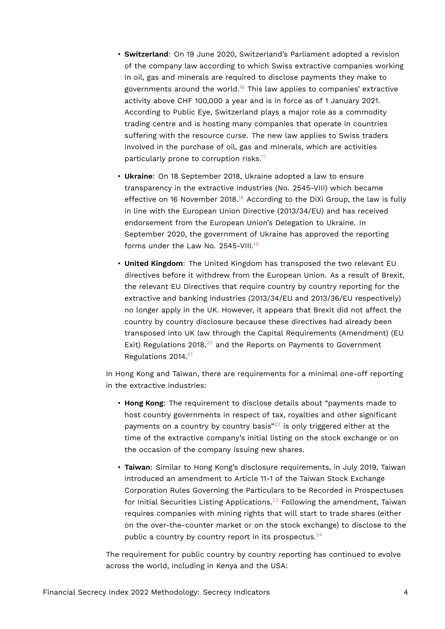- <span id="page-3-0"></span>• **Switzerland**: On 19 June 2020, Switzerland's Parliament adopted a revision of the company law according to which Swiss extractive companies working in oil, gas and minerals are required to disclose payments they make to governments around the world.<sup>[16](#page-16-6)</sup> This law applies to companies' extractive activity above CHF 100,000 a year and is in force as of 1 January 2021. According to Public Eye, Switzerland plays a major role as a commodity trading centre and is hosting many companies that operate in countries suffering with the resource curse. The new law applies to Swiss traders involved in the purchase of oil, gas and minerals, which are activities particularly prone to corruption risks.<sup>[17](#page-16-7)</sup>
- <span id="page-3-2"></span><span id="page-3-1"></span>• **Ukraine**: On 18 September 2018, Ukraine adopted a law to ensure transparency in the extractive industries (No. 2545-VIII) which became effective on 16 November 20[18](#page-16-8).<sup>18</sup> According to the DiXi Group, the law is fully in line with the European Union Directive (2013/34/EU) and has received endorsement from the European Union's Delegation to Ukraine. In September 2020, the government of Ukraine has approved the reporting forms under the Law No. 2545-VIII.<sup>[19](#page-16-9)</sup>
- <span id="page-3-3"></span>• **United Kingdom**: The United Kingdom has transposed the two relevant EU directives before it withdrew from the European Union. As a result of Brexit, the relevant EU Directives that require country by country reporting for the extractive and banking industries (2013/34/EU and 2013/36/EU respectively) no longer apply in the UK. However, it appears that Brexit did not affect the country by country disclosure because these directives had already been transposed into UK law through the Capital Requirements (Amendment) (EU Exit) Regulations [20](#page-16-10)18, $20$  and the Reports on Payments to Government Regulations 2014.[21](#page-17-0)

<span id="page-3-4"></span>In Hong Kong and Taiwan, there are requirements for a minimal one-off reporting in the extractive industries:

- <span id="page-3-6"></span><span id="page-3-5"></span>• **Hong Kong**: The requirement to disclose details about "payments made to host country governments in respect of tax, royalties and other significant payments on a country by country basis $^{22}$  $^{22}$  $^{22}$  is only triggered either at the time of the extractive company's initial listing on the stock exchange or on the occasion of the company issuing new shares.
- <span id="page-3-8"></span><span id="page-3-7"></span>• **Taiwan**: Similar to Hong Kong's disclosure requirements, in July 2019, Taiwan introduced an amendment to Article 11-1 of the Taiwan Stock Exchange Corporation Rules Governing the Particulars to be Recorded in Prospectuses for Initial Securities Listing Applications. $23$  Following the amendment, Taiwan requires companies with mining rights that will start to trade shares (either on the over-the-counter market or on the stock exchange) to disclose to the public a country by country report in its prospectus. $24$

The requirement for public country by country reporting has continued to evolve across the world, including in Kenya and the USA: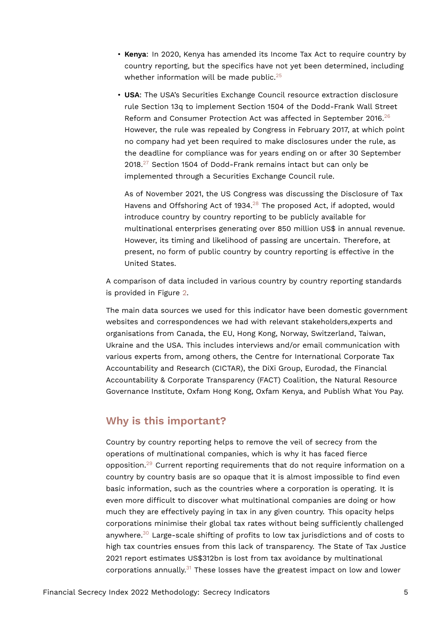- **Kenya**: In 2020, Kenya has amended its Income Tax Act to require country by country reporting, but the specifics have not yet been determined, including whether information will be made public. $25$
- <span id="page-4-1"></span><span id="page-4-0"></span>• **USA**: The USA's Securities Exchange Council resource extraction disclosure rule Section 13q to implement Section 1504 of the Dodd-Frank Wall Street Reform and Consumer Protection Act was affected in September 2016.<sup>[26](#page-17-5)</sup> However, the rule was repealed by Congress in February 2017, at which point no company had yet been required to make disclosures under the rule, as the deadline for compliance was for years ending on or after 30 September  $2018.<sup>27</sup>$  $2018.<sup>27</sup>$  $2018.<sup>27</sup>$  Section 1504 of Dodd-Frank remains intact but can only be implemented through a Securities Exchange Council rule.

<span id="page-4-3"></span><span id="page-4-2"></span>As of November 2021, the US Congress was discussing the Disclosure of Tax Havens and Offshoring Act of 1934. $^{28}$  $^{28}$  $^{28}$  The proposed Act, if adopted, would introduce country by country reporting to be publicly available for multinational enterprises generating over 850 million US\$ in annual revenue. However, its timing and likelihood of passing are uncertain. Therefore, at present, no form of public country by country reporting is effective in the United States.

A comparison of data included in various country by country reporting standards is provided in Figure [2.](#page-12-0)

The main data sources we used for this indicator have been domestic government websites and correspondences we had with relevant stakeholders,experts and organisations from Canada, the EU, Hong Kong, Norway, Switzerland, Taiwan, Ukraine and the USA. This includes interviews and/or email communication with various experts from, among others, the Centre for International Corporate Tax Accountability and Research (CICTAR), the DiXi Group, Eurodad, the Financial Accountability & Corporate Transparency (FACT) Coalition, the Natural Resource Governance Institute, Oxfam Hong Kong, Oxfam Kenya, and Publish What You Pay.

## **Why is this important?**

<span id="page-4-6"></span><span id="page-4-5"></span><span id="page-4-4"></span>Country by country reporting helps to remove the veil of secrecy from the operations of multinational companies, which is why it has faced fierce opposition.[29](#page-17-8) Current reporting requirements that do not require information on a country by country basis are so opaque that it is almost impossible to find even basic information, such as the countries where a corporation is operating. It is even more difficult to discover what multinational companies are doing or how much they are effectively paying in tax in any given country. This opacity helps corporations minimise their global tax rates without being sufficiently challenged anywhere.<sup>[30](#page-17-9)</sup> Large-scale shifting of profits to low tax jurisdictions and of costs to high tax countries ensues from this lack of transparency. The State of Tax Justice 2021 report estimates US\$312bn is lost from tax avoidance by multinational corporations annually.<sup>[31](#page-17-10)</sup> These losses have the greatest impact on low and lower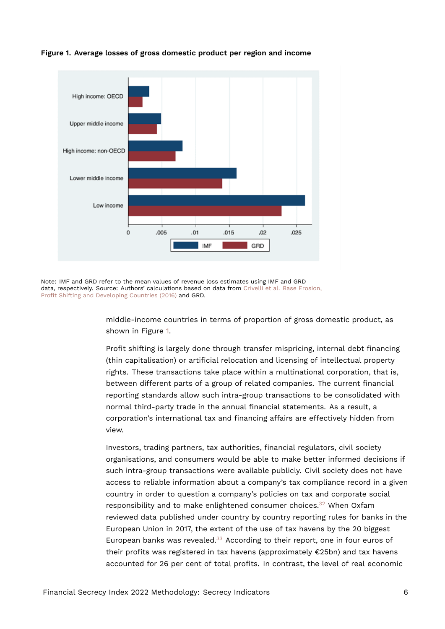<span id="page-5-0"></span>

**Figure 1. Average losses of gross domestic product per region and income**

Note: IMF and GRD refer to the mean values of revenue loss estimates using IMF and GRD data, respectively. Source: Authors' calculations based on data from [Crivelli et al. Base Erosion,](https://www.jstor.org/stable/24807496) [Profit Shifting and Developing Countries \(2016\)](https://www.jstor.org/stable/24807496) and GRD.

> middle-income countries in terms of proportion of gross domestic product, as shown in Figure [1](#page-5-0).

Profit shifting is largely done through transfer mispricing, internal debt financing (thin capitalisation) or artificial relocation and licensing of intellectual property rights. These transactions take place within a multinational corporation, that is, between different parts of a group of related companies. The current financial reporting standards allow such intra-group transactions to be consolidated with normal third-party trade in the annual financial statements. As a result, a corporation's international tax and financing affairs are effectively hidden from view.

<span id="page-5-2"></span><span id="page-5-1"></span>Investors, trading partners, tax authorities, financial regulators, civil society organisations, and consumers would be able to make better informed decisions if such intra-group transactions were available publicly. Civil society does not have access to reliable information about a company's tax compliance record in a given country in order to question a company's policies on tax and corporate social responsibility and to make enlightened consumer choices. $32$  When Oxfam reviewed data published under country by country reporting rules for banks in the European Union in 2017, the extent of the use of tax havens by the 20 biggest European banks was revealed. $33$  According to their report, one in four euros of their profits was registered in tax havens (approximately €25bn) and tax havens accounted for 26 per cent of total profits. In contrast, the level of real economic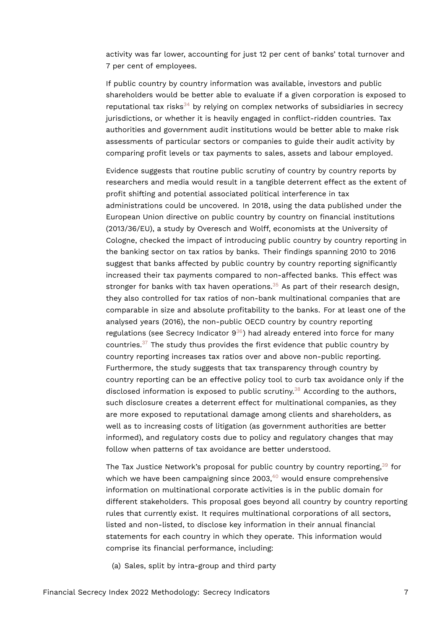activity was far lower, accounting for just 12 per cent of banks' total turnover and 7 per cent of employees.

<span id="page-6-0"></span>If public country by country information was available, investors and public shareholders would be better able to evaluate if a given corporation is exposed to reputational tax risks $34$  by relying on complex networks of subsidiaries in secrecy jurisdictions, or whether it is heavily engaged in conflict-ridden countries. Tax authorities and government audit institutions would be better able to make risk assessments of particular sectors or companies to guide their audit activity by comparing profit levels or tax payments to sales, assets and labour employed.

<span id="page-6-1"></span>Evidence suggests that routine public scrutiny of country by country reports by researchers and media would result in a tangible deterrent effect as the extent of profit shifting and potential associated political interference in tax administrations could be uncovered. In 2018, using the data published under the European Union directive on public country by country on financial institutions (2013/36/EU), a study by Overesch and Wolff, economists at the University of Cologne, checked the impact of introducing public country by country reporting in the banking sector on tax ratios by banks. Their findings spanning 2010 to 2016 suggest that banks affected by public country by country reporting significantly increased their tax payments compared to non-affected banks. This effect was stronger for banks with tax haven operations.<sup>[35](#page-18-3)</sup> As part of their research design, they also controlled for tax ratios of non-bank multinational companies that are comparable in size and absolute profitability to the banks. For at least one of the analysed years (2016), the non-public OECD country by country reporting regulations (see Secrecy Indicator  $9^{36}$  $9^{36}$  $9^{36}$ ) had already entered into force for many countries.[37](#page-18-5) The study thus provides the first evidence that public country by country reporting increases tax ratios over and above non-public reporting. Furthermore, the study suggests that tax transparency through country by country reporting can be an effective policy tool to curb tax avoidance only if the disclosed information is exposed to public scrutiny.<sup>[38](#page-18-6)</sup> According to the authors, such disclosure creates a deterrent effect for multinational companies, as they are more exposed to reputational damage among clients and shareholders, as well as to increasing costs of litigation (as government authorities are better informed), and regulatory costs due to policy and regulatory changes that may follow when patterns of tax avoidance are better understood.

<span id="page-6-6"></span><span id="page-6-5"></span><span id="page-6-4"></span><span id="page-6-3"></span><span id="page-6-2"></span>The Tax Justice Network's proposal for public country by country reporting, $39$  for which we have been campaigning since  $2003,40$  $2003,40$  would ensure comprehensive information on multinational corporate activities is in the public domain for different stakeholders. This proposal goes beyond all country by country reporting rules that currently exist. It requires multinational corporations of all sectors, listed and non-listed, to disclose key information in their annual financial statements for each country in which they operate. This information would comprise its financial performance, including:

(a) Sales, split by intra-group and third party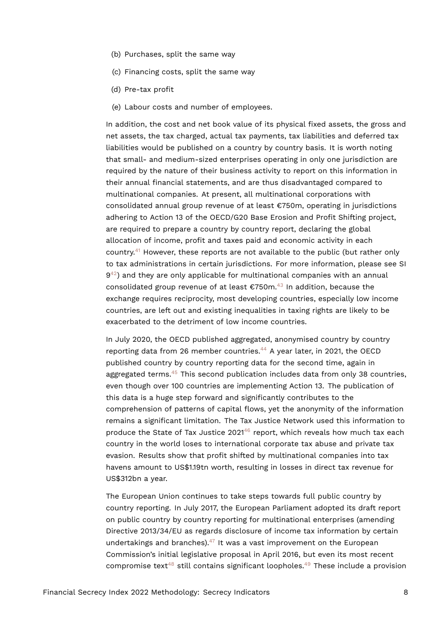- (b) Purchases, split the same way
- (c) Financing costs, split the same way
- (d) Pre-tax profit
- (e) Labour costs and number of employees.

In addition, the cost and net book value of its physical fixed assets, the gross and net assets, the tax charged, actual tax payments, tax liabilities and deferred tax liabilities would be published on a country by country basis. It is worth noting that small- and medium-sized enterprises operating in only one jurisdiction are required by the nature of their business activity to report on this information in their annual financial statements, and are thus disadvantaged compared to multinational companies. At present, all multinational corporations with consolidated annual group revenue of at least €750m, operating in jurisdictions adhering to Action 13 of the OECD/G20 Base Erosion and Profit Shifting project, are required to prepare a country by country report, declaring the global allocation of income, profit and taxes paid and economic activity in each country.<sup>[41](#page-18-9)</sup> However, these reports are not available to the public (but rather only to tax administrations in certain jurisdictions. For more information, please see SI  $9^{42}$  $9^{42}$  $9^{42}$ ) and they are only applicable for multinational companies with an annual consolidated group revenue of at least  $\epsilon$ 750m.<sup>[43](#page-18-11)</sup> In addition, because the exchange requires reciprocity, most developing countries, especially low income countries, are left out and existing inequalities in taxing rights are likely to be exacerbated to the detriment of low income countries.

<span id="page-7-4"></span><span id="page-7-3"></span><span id="page-7-2"></span><span id="page-7-1"></span><span id="page-7-0"></span>In July 2020, the OECD published aggregated, anonymised country by country reporting data from 26 member countries. $44$  A year later, in 2021, the OECD published country by country reporting data for the second time, again in aggregated terms.<sup>[45](#page-18-13)</sup> This second publication includes data from only 38 countries, even though over 100 countries are implementing Action 13. The publication of this data is a huge step forward and significantly contributes to the comprehension of patterns of capital flows, yet the anonymity of the information remains a significant limitation. The Tax Justice Network used this information to produce the State of Tax Justice 2021<sup>[46](#page-19-0)</sup> report, which reveals how much tax each country in the world loses to international corporate tax abuse and private tax evasion. Results show that profit shifted by multinational companies into tax havens amount to US\$1.19tn worth, resulting in losses in direct tax revenue for US\$312bn a year.

<span id="page-7-8"></span><span id="page-7-7"></span><span id="page-7-6"></span><span id="page-7-5"></span>The European Union continues to take steps towards full public country by country reporting. In July 2017, the European Parliament adopted its draft report on public country by country reporting for multinational enterprises (amending Directive 2013/34/EU as regards disclosure of income tax information by certain undertakings and branches). $47$  It was a vast improvement on the European Commission's initial legislative proposal in April 2016, but even its most recent compromise text<sup>[48](#page-19-2)</sup> still contains significant loopholes.<sup>[49](#page-19-3)</sup> These include a provision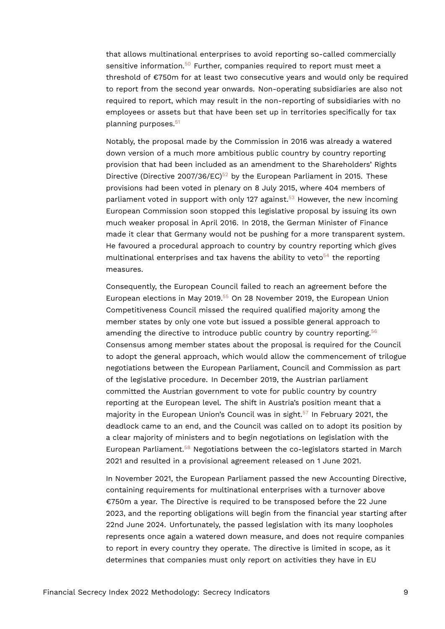<span id="page-8-0"></span>that allows multinational enterprises to avoid reporting so-called commercially sensitive information. $50$  Further, companies required to report must meet a threshold of €750m for at least two consecutive years and would only be required to report from the second year onwards. Non-operating subsidiaries are also not required to report, which may result in the non-reporting of subsidiaries with no employees or assets but that have been set up in territories specifically for tax planning purposes.<sup>[51](#page-19-5)</sup>

<span id="page-8-3"></span><span id="page-8-2"></span><span id="page-8-1"></span>Notably, the proposal made by the Commission in 2016 was already a watered down version of a much more ambitious public country by country reporting provision that had been included as an amendment to the Shareholders' Rights Directive (Directive 2007/36/EC)<sup>[52](#page-19-6)</sup> by the European Parliament in 2015. These provisions had been voted in plenary on 8 July 2015, where 404 members of parliament voted in support with only 127 against.<sup>[53](#page-19-7)</sup> However, the new incoming European Commission soon stopped this legislative proposal by issuing its own much weaker proposal in April 2016. In 2018, the German Minister of Finance made it clear that Germany would not be pushing for a more transparent system. He favoured a procedural approach to country by country reporting which gives multinational enterprises and tax havens the ability to veto<sup>[54](#page-19-8)</sup> the reporting measures.

<span id="page-8-6"></span><span id="page-8-5"></span><span id="page-8-4"></span>Consequently, the European Council failed to reach an agreement before the European elections in May 2019.<sup>[55](#page-19-9)</sup> On 28 November 2019, the European Union Competitiveness Council missed the required qualified majority among the member states by only one vote but issued a possible general approach to amending the directive to introduce public country by country reporting.<sup>[56](#page-19-10)</sup> Consensus among member states about the proposal is required for the Council to adopt the general approach, which would allow the commencement of trilogue negotiations between the European Parliament, Council and Commission as part of the legislative procedure. In December 2019, the Austrian parliament committed the Austrian government to vote for public country by country reporting at the European level. The shift in Austria's position meant that a majority in the European Union's Council was in sight.<sup>[57](#page-19-11)</sup> In February 2021, the deadlock came to an end, and the Council was called on to adopt its position by a clear majority of ministers and to begin negotiations on legislation with the European Parliament.[58](#page-20-0) Negotiations between the co-legislators started in March 2021 and resulted in a provisional agreement released on 1 June 2021.

<span id="page-8-8"></span><span id="page-8-7"></span>In November 2021, the European Parliament passed the new Accounting Directive, containing requirements for multinational enterprises with a turnover above €750m a year. The Directive is required to be transposed before the 22 June 2023, and the reporting obligations will begin from the financial year starting after 22nd June 2024. Unfortunately, the passed legislation with its many loopholes represents once again a watered down measure, and does not require companies to report in every country they operate. The directive is limited in scope, as it determines that companies must only report on activities they have in EU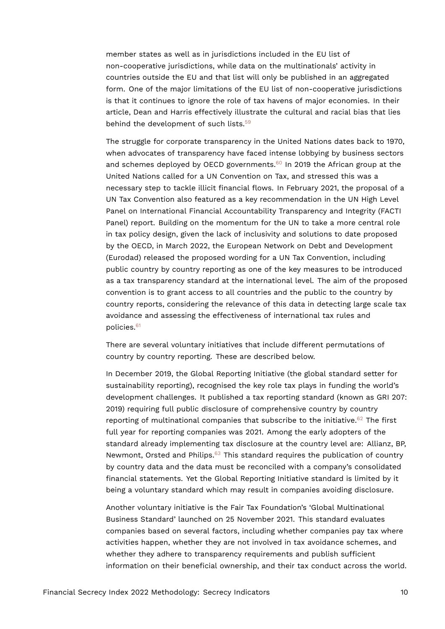member states as well as in jurisdictions included in the EU list of non-cooperative jurisdictions, while data on the multinationals' activity in countries outside the EU and that list will only be published in an aggregated form. One of the major limitations of the EU list of non-cooperative jurisdictions is that it continues to ignore the role of tax havens of major economies. In their article, Dean and Harris effectively illustrate the cultural and racial bias that lies behind the development of such lists.<sup>[59](#page-20-1)</sup>

<span id="page-9-1"></span><span id="page-9-0"></span>The struggle for corporate transparency in the United Nations dates back to 1970, when advocates of transparency have faced intense lobbying by business sectors and schemes deployed by OECD governments.<sup>[60](#page-20-2)</sup> In 2019 the African group at the United Nations called for a UN Convention on Tax, and stressed this was a necessary step to tackle illicit financial flows. In February 2021, the proposal of a UN Tax Convention also featured as a key recommendation in the UN High Level Panel on International Financial Accountability Transparency and Integrity (FACTI Panel) report. Building on the momentum for the UN to take a more central role in tax policy design, given the lack of inclusivity and solutions to date proposed by the OECD, in March 2022, the European Network on Debt and Development (Eurodad) released the proposed wording for a UN Tax Convention, including public country by country reporting as one of the key measures to be introduced as a tax transparency standard at the international level. The aim of the proposed convention is to grant access to all countries and the public to the country by country reports, considering the relevance of this data in detecting large scale tax avoidance and assessing the effectiveness of international tax rules and policies.[61](#page-20-3)

<span id="page-9-2"></span>There are several voluntary initiatives that include different permutations of country by country reporting. These are described below.

<span id="page-9-3"></span>In December 2019, the Global Reporting Initiative (the global standard setter for sustainability reporting), recognised the key role tax plays in funding the world's development challenges. It published a tax reporting standard (known as GRI 207: 2019) requiring full public disclosure of comprehensive country by country reporting of multinational companies that subscribe to the initiative. $62$  The first full year for reporting companies was 2021. Among the early adopters of the standard already implementing tax disclosure at the country level are: Allianz, BP, Newmont, Orsted and Philips.<sup>[63](#page-20-5)</sup> This standard requires the publication of country by country data and the data must be reconciled with a company's consolidated financial statements. Yet the Global Reporting Initiative standard is limited by it being a voluntary standard which may result in companies avoiding disclosure.

<span id="page-9-4"></span>Another voluntary initiative is the Fair Tax Foundation's 'Global Multinational Business Standard' launched on 25 November 2021. This standard evaluates companies based on several factors, including whether companies pay tax where activities happen, whether they are not involved in tax avoidance schemes, and whether they adhere to transparency requirements and publish sufficient information on their beneficial ownership, and their tax conduct across the world.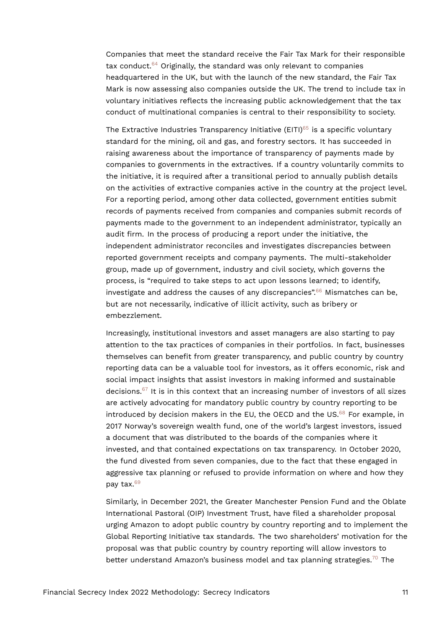<span id="page-10-0"></span>Companies that meet the standard receive the Fair Tax Mark for their responsible tax conduct.[64](#page-20-6) Originally, the standard was only relevant to companies headquartered in the UK, but with the launch of the new standard, the Fair Tax Mark is now assessing also companies outside the UK. The trend to include tax in voluntary initiatives reflects the increasing public acknowledgement that the tax conduct of multinational companies is central to their responsibility to society.

<span id="page-10-1"></span>The Extractive Industries Transparency Initiative (EITI)<sup>[65](#page-20-7)</sup> is a specific voluntary standard for the mining, oil and gas, and forestry sectors. It has succeeded in raising awareness about the importance of transparency of payments made by companies to governments in the extractives. If a country voluntarily commits to the initiative, it is required after a transitional period to annually publish details on the activities of extractive companies active in the country at the project level. For a reporting period, among other data collected, government entities submit records of payments received from companies and companies submit records of payments made to the government to an independent administrator, typically an audit firm. In the process of producing a report under the initiative, the independent administrator reconciles and investigates discrepancies between reported government receipts and company payments. The multi-stakeholder group, made up of government, industry and civil society, which governs the process, is "required to take steps to act upon lessons learned; to identify, investigate and address the causes of any discrepancies".<sup>[66](#page-20-8)</sup> Mismatches can be, but are not necessarily, indicative of illicit activity, such as bribery or embezzlement.

<span id="page-10-4"></span><span id="page-10-3"></span><span id="page-10-2"></span>Increasingly, institutional investors and asset managers are also starting to pay attention to the tax practices of companies in their portfolios. In fact, businesses themselves can benefit from greater transparency, and public country by country reporting data can be a valuable tool for investors, as it offers economic, risk and social impact insights that assist investors in making informed and sustainable decisions.[67](#page-20-9) It is in this context that an increasing number of investors of all sizes are actively advocating for mandatory public country by country reporting to be introduced by decision makers in the EU, the OECD and the US. $68$  For example, in 2017 Norway's sovereign wealth fund, one of the world's largest investors, issued a document that was distributed to the boards of the companies where it invested, and that contained expectations on tax transparency. In October 2020, the fund divested from seven companies, due to the fact that these engaged in aggressive tax planning or refused to provide information on where and how they pay tax.[69](#page-20-11)

<span id="page-10-6"></span><span id="page-10-5"></span>Similarly, in December 2021, the Greater Manchester Pension Fund and the Oblate International Pastoral (OIP) Investment Trust, have filed a shareholder proposal urging Amazon to adopt public country by country reporting and to implement the Global Reporting Initiative tax standards. The two shareholders' motivation for the proposal was that public country by country reporting will allow investors to better understand Amazon's business model and tax planning strategies.<sup>[70](#page-21-0)</sup> The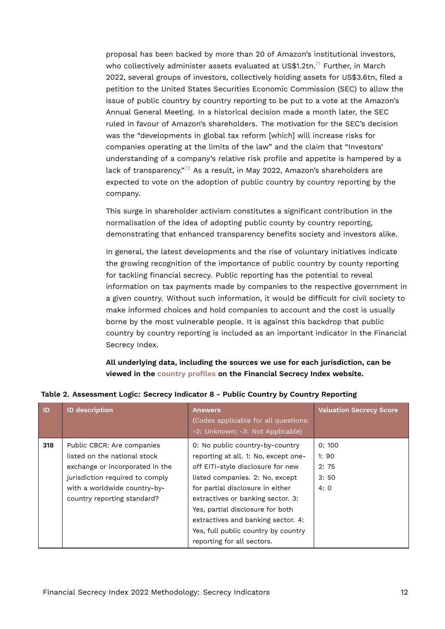<span id="page-11-1"></span>proposal has been backed by more than 20 of Amazon's institutional investors, who collectively administer assets evaluated at US\$1.2tn.<sup>[71](#page-21-1)</sup> Further, in March 2022, several groups of investors, collectively holding assets for US\$3.6tn, filed a petition to the United States Securities Economic Commission (SEC) to allow the issue of public country by country reporting to be put to a vote at the Amazon's Annual General Meeting. In a historical decision made a month later, the SEC ruled in favour of Amazon's shareholders. The motivation for the SEC's decision was the "developments in global tax reform [which] will increase risks for companies operating at the limits of the law" and the claim that "Investors' understanding of a company's relative risk profile and appetite is hampered by a lack of transparency."<sup>[72](#page-21-2)</sup> As a result, in May 2022, Amazon's shareholders are expected to vote on the adoption of public country by country reporting by the company.

<span id="page-11-2"></span>This surge in shareholder activism constitutes a significant contribution in the normalisation of the idea of adopting public county by country reporting, demonstrating that enhanced transparency benefits society and investors alike.

In general, the latest developments and the rise of voluntary initiatives indicate the growing recognition of the importance of public country by county reporting for tackling financial secrecy. Public reporting has the potential to reveal information on tax payments made by companies to the respective government in a given country. Without such information, it would be difficult for civil society to make informed choices and hold companies to account and the cost is usually borne by the most vulnerable people. It is against this backdrop that public country by country reporting is included as an important indicator in the Financial Secrecy Index.

<span id="page-11-0"></span>**All underlying data, including the sources we use for each jurisdiction, can be viewed in the [country profiles](https://fsi.taxjustice.net/country-detail) on the Financial Secrecy Index website.**

| <b>ID</b> | <b>ID description</b>                                                                                                                                            | <b>Answers</b><br>(Codes applicable for all questions:<br>-2: Unknown; -3: Not Applicable)                                                                                          | <b>Valuation Secrecy Score</b>       |
|-----------|------------------------------------------------------------------------------------------------------------------------------------------------------------------|-------------------------------------------------------------------------------------------------------------------------------------------------------------------------------------|--------------------------------------|
| 318       | Public CBCR: Are companies<br>listed on the national stock<br>exchange or incorporated in the<br>jurisdiction required to comply<br>with a worldwide country-by- | 0: No public country-by-country<br>reporting at all. 1: No, except one-<br>off EITI-style disclosure for new<br>listed companies. 2: No, except<br>for partial disclosure in either | 0:100<br>1:90<br>2:75<br>3:50<br>4:0 |
|           | country reporting standard?                                                                                                                                      | extractives or banking sector. 3:<br>Yes, partial disclosure for both<br>extractives and banking sector. 4:<br>Yes, full public country by country<br>reporting for all sectors.    |                                      |

#### **Table 2. Assessment Logic: Secrecy Indicator 8 - Public Country by Country Reporting**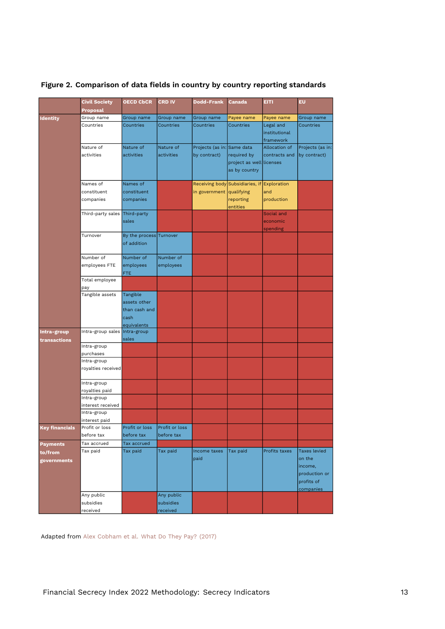|                       | <b>Civil Society</b>          | <b>OECD CbCR</b>              | <b>CRD IV</b> | <b>Dodd-Frank</b>               | <b>Canada</b>            | <b>EITI</b>   | EU               |
|-----------------------|-------------------------------|-------------------------------|---------------|---------------------------------|--------------------------|---------------|------------------|
|                       | Proposal                      |                               |               |                                 |                          |               |                  |
| <b>Identity</b>       | Group name                    | Group name                    | Group name    | Group name                      | Payee name               | Payee name    | Group name       |
|                       | Countries                     | Countries                     | Countries     | Countries                       | Countries                | Legal and     | Countries        |
|                       |                               |                               |               |                                 |                          | institutional |                  |
|                       |                               |                               |               |                                 |                          | framework     |                  |
|                       | Nature of                     | Nature of                     | Nature of     | Projects (as in: Same data      |                          | Allocation of | Projects (as in: |
|                       | activities                    | activities                    | activities    | by contract)                    | required by              | contracts and | by contract)     |
|                       |                               |                               |               |                                 | project as well licenses |               |                  |
|                       |                               |                               |               |                                 | as by country            |               |                  |
|                       |                               |                               |               |                                 |                          |               |                  |
|                       | Names of                      | Names of                      |               | Receiving body Subsidiaries, if |                          | Exploration   |                  |
|                       | constituent                   | constituent                   |               | in government qualifying        |                          | and           |                  |
|                       | companies                     | companies                     |               |                                 | reporting                | production    |                  |
|                       |                               |                               |               |                                 | entities                 | Social and    |                  |
|                       | Third-party sales Third-party |                               |               |                                 |                          |               |                  |
|                       |                               | sales                         |               |                                 |                          | economic      |                  |
|                       | Turnover                      | By the process Turnover       |               |                                 |                          | spending      |                  |
|                       |                               | of addition                   |               |                                 |                          |               |                  |
|                       |                               |                               |               |                                 |                          |               |                  |
|                       | Number of                     | Number of                     | Number of     |                                 |                          |               |                  |
|                       | employees FTE                 | employees                     | employees     |                                 |                          |               |                  |
|                       |                               | <b>FTE</b>                    |               |                                 |                          |               |                  |
|                       | Total employee                |                               |               |                                 |                          |               |                  |
|                       | pay                           |                               |               |                                 |                          |               |                  |
|                       | Tangible assets               | Tangible                      |               |                                 |                          |               |                  |
|                       |                               | assets other                  |               |                                 |                          |               |                  |
|                       |                               | than cash and                 |               |                                 |                          |               |                  |
|                       |                               | cash                          |               |                                 |                          |               |                  |
|                       |                               | equivalents                   |               |                                 |                          |               |                  |
| Intra-group           | Intra-group sales             | Intra-group                   |               |                                 |                          |               |                  |
| transactions          |                               | sales                         |               |                                 |                          |               |                  |
|                       | Intra-group                   |                               |               |                                 |                          |               |                  |
|                       | purchases                     |                               |               |                                 |                          |               |                  |
|                       | Intra-group                   |                               |               |                                 |                          |               |                  |
|                       | royalties received            |                               |               |                                 |                          |               |                  |
|                       |                               |                               |               |                                 |                          |               |                  |
|                       | Intra-group                   |                               |               |                                 |                          |               |                  |
|                       | royalties paid<br>Intra-group |                               |               |                                 |                          |               |                  |
|                       | interest received             |                               |               |                                 |                          |               |                  |
|                       | Intra-group                   |                               |               |                                 |                          |               |                  |
|                       | interest paid                 |                               |               |                                 |                          |               |                  |
| <b>Key financials</b> | Profit or loss                | Profit or loss Profit or loss |               |                                 |                          |               |                  |
|                       | before tax                    | before tax                    | before tax    |                                 |                          |               |                  |
| Payments              | Tax accrued                   | Tax accrued                   |               |                                 |                          |               |                  |
|                       | Tax paid                      | Tax paid                      | Tax paid      | Income taxes                    | Tax paid                 | Profits taxes | Taxes levied     |
| to/from               |                               |                               |               | paid                            |                          |               | on the           |
| governments           |                               |                               |               |                                 |                          |               | income,          |
|                       |                               |                               |               |                                 |                          |               | production or    |
|                       |                               |                               |               |                                 |                          |               | profits of       |
|                       |                               |                               |               |                                 |                          |               | companies        |
|                       | Any public                    |                               | Any public    |                                 |                          |               |                  |
|                       | subsidies                     |                               | subsidies     |                                 |                          |               |                  |
|                       | received                      |                               | received      |                                 |                          |               |                  |

## <span id="page-12-0"></span>**Figure 2. Comparison of data fields in country by country reporting standards**

Adapted from [Alex Cobham et al. What Do They Pay? \(2017\)](https://www.researchgate.net/publication/320657845_What_Do_They_Pay_Towards_a_Public_Database_to_Account_for_the_Economic_Activities_and_Tax_Contributions_of_Multinational_Corporations)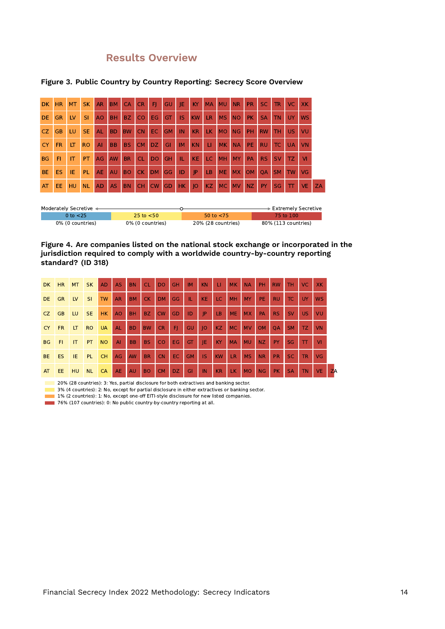## **Results Overview**

|           | <b>DK</b> | <b>HR</b> | <b>MT</b> | <b>SK</b> | <b>AR</b>      | <b>BM</b> | <b>CA</b> | <b>CR</b> | FI        | GU        | IE        | KY        | <b>MA</b> | <b>MU</b> | <b>NR</b> | <b>PR</b> | <b>SC</b> | <b>TR</b> | VC.       | <b>XK</b> |
|-----------|-----------|-----------|-----------|-----------|----------------|-----------|-----------|-----------|-----------|-----------|-----------|-----------|-----------|-----------|-----------|-----------|-----------|-----------|-----------|-----------|
|           | DE        | <b>GR</b> | LV        | SI        | A <sub>O</sub> | <b>BH</b> | BZ.       | CO        | EG        | GT        | <b>IS</b> | KW        | <b>LR</b> | <b>MS</b> | <b>NO</b> | <b>PK</b> | <b>SA</b> | <b>TN</b> | <b>UY</b> | <b>WS</b> |
|           | <b>CZ</b> | <b>GB</b> | LU        | <b>SE</b> | AL             | <b>BD</b> | <b>BW</b> | <b>CN</b> | EC.       | <b>GM</b> | IN        | <b>KR</b> | LK.       | <b>MO</b> | <b>NG</b> | PH        | <b>RW</b> | тн        | <b>US</b> | VU        |
| <b>CY</b> |           | <b>FR</b> | LT        | <b>RO</b> | $\mathsf{A}$   | <b>BB</b> | BS.       | <b>CM</b> | <b>DZ</b> | GI        | <b>IM</b> | <b>KN</b> | п         | <b>MK</b> | <b>NA</b> | PE        | <b>RU</b> | <b>TC</b> | <b>UA</b> | <b>VN</b> |
|           | <b>BG</b> | FI        | IT        | PT.       | AG             | <b>AW</b> | <b>BR</b> | <b>CL</b> | <b>DO</b> | <b>GH</b> | Ш         | <b>KE</b> | LC.       | <b>MH</b> | <b>MY</b> | <b>PA</b> | <b>RS</b> | <b>SV</b> | TZ.       | VI        |
|           | <b>BE</b> | <b>ES</b> | IE        | <b>PL</b> | <b>AE</b>      | AU        | <b>BO</b> | <b>CK</b> | <b>DM</b> | GG        | ID        | IP        | LB        | <b>ME</b> | <b>MX</b> | <b>OM</b> | <b>OA</b> | <b>SM</b> | <b>TW</b> | <b>VG</b> |
|           | AT        | <b>EE</b> | <b>HU</b> | <b>NL</b> | <b>AD</b>      | AS.       | <b>BN</b> | <b>CH</b> | <b>CW</b> | GD        | HK.       | O         | KZ        | <b>MC</b> | <b>MV</b> | <b>NZ</b> | PY        | SG        | π         | <b>VE</b> |

#### **Figure 3. Public Country by Country Reporting: Secrecy Score Overview**

| Moderately Secretive < |                  |                    | → Extremely Secretive |
|------------------------|------------------|--------------------|-----------------------|
| 0 to $< 25$            | 25 to $<$ 50     | 50 to $<$ 75       | 75 to 100             |
| 0% (0 countries)       | 0% (0 countries) | 20% (28 countries) | 80% (113 countries)   |

#### **Figure 4. Are companies listed on the national stock exchange or incorporated in the jurisdiction required to comply with a worldwide country-by-country reporting standard? (ID 318)**

| DK.       | HR        | <b>MT</b>      | <b>SK</b> | <b>AD</b> | <b>AS</b> | <b>BN</b> | <b>CL</b> | <b>DO</b> | <b>GH</b>       | <b>IM</b> | <b>KN</b>                         | LI.       | <b>MK</b> | <b>NA</b> | PH.       | <b>RW</b> | TH.       | VC.            | <b>XK</b> |           |
|-----------|-----------|----------------|-----------|-----------|-----------|-----------|-----------|-----------|-----------------|-----------|-----------------------------------|-----------|-----------|-----------|-----------|-----------|-----------|----------------|-----------|-----------|
| DE.       | GR.       | <b>LV</b>      | SI.       | <b>TW</b> | <b>AR</b> | BM        | CK        | <b>DM</b> | <b>GG</b>       | TL.       | <b>KE</b>                         | LC.       | <b>MH</b> | <b>MY</b> | PE.       | <b>RU</b> | TC        | UY <sub></sub> | <b>WS</b> |           |
| CZ.       | GB        | LU             | SE.       | <b>HK</b> | <b>AO</b> | BH.       | BZ.       | <b>CW</b> | GD              | ID        | P                                 | LB.       | <b>ME</b> | <b>MX</b> | <b>PA</b> | RS.       | <b>SV</b> | US.            | VU        |           |
| <b>CY</b> | FR.       | LT             | <b>RO</b> | <b>UA</b> | <b>AL</b> | BD.       | <b>BW</b> | <b>CR</b> | FJ.             | GU        | IO                                | <b>KZ</b> | <b>MC</b> | <b>MV</b> | <b>OM</b> | <b>OA</b> | <b>SM</b> | TZ.            | <b>VN</b> |           |
| <b>BG</b> | <b>FI</b> | $\blacksquare$ | PT        | <b>NO</b> | AI        | BB        | <b>BS</b> | <b>CO</b> | <b>EG</b>       | <b>GT</b> | -JE                               | KY.       | <b>MA</b> | <b>MU</b> | NZ        | PY        | SG        | $\mathbf{T}$   | <b>VI</b> |           |
| BE.       | ES.       | $\overline{E}$ | PL.       | <b>CH</b> | AG        | <b>AW</b> | <b>BR</b> | <b>CN</b> | EC.             | <b>GM</b> | IS.                               | <b>KW</b> | <b>LR</b> | <b>MS</b> | <b>NR</b> | <b>PR</b> | SC.       | <b>TR</b>      | VG        |           |
| AT        | EE.       | HU             | <b>NL</b> | <b>CA</b> | AE.       | <b>AU</b> | <b>BO</b> | <b>CM</b> | DZ <sup>1</sup> | GI        | $\overline{\mathbf{1}}\mathbf{N}$ | <b>KR</b> | LK.       | MO        | <b>NG</b> | <b>PK</b> | <b>SA</b> | <b>TN</b>      | <b>VE</b> | <b>ZA</b> |

20% (28 countries): 3: Yes, partial disclosure for both extractives and banking sector.

3% (4 countries): 2: No, except for partial disclosure in either extractives or banking sector.

1% (2 countries): 1: No, except one-off EITI-style disclosure for new listed companies.

76% (107 countries): 0: No public country-by-country reporting at all.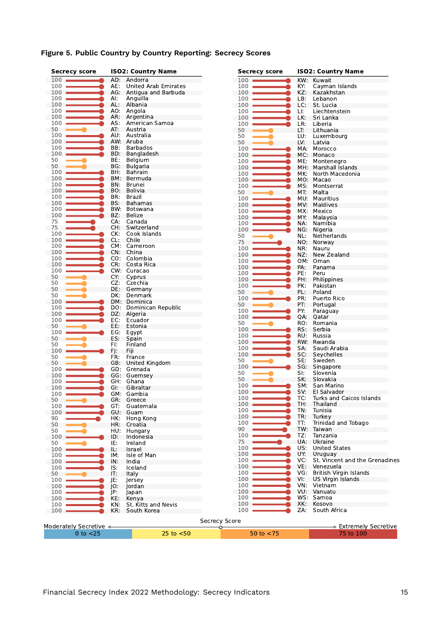| <b>Secrecy score</b>   |            | <b>ISO2: Country Name</b> |                      | <b>Secrecy score</b> |     | <b>ISO2: Country Name</b>         |  |  |  |  |
|------------------------|------------|---------------------------|----------------------|----------------------|-----|-----------------------------------|--|--|--|--|
| 100                    |            | AD: Andorra               |                      | 100                  | KW: | Kuwait                            |  |  |  |  |
| 100                    | AE:        | United Arab Emirates      |                      | 100                  | KY: | Cayman Islands                    |  |  |  |  |
| 100                    | AG:        | Antigua and Barbuda       |                      | 100                  | KZ: | Kazakhstan                        |  |  |  |  |
| 100                    | AI:        | Anguilla                  |                      | 100                  | LB: | Lebanon                           |  |  |  |  |
| 100                    | AL:        | Albania                   |                      | 100                  | LC: | St. Lucia                         |  |  |  |  |
| 100                    |            | AO: Angola                |                      | 100                  | LI: | Liechtenstein                     |  |  |  |  |
| 100                    | AR:        | Argentina                 |                      | 100                  | LK. | Sri Lanka                         |  |  |  |  |
| 100                    | AS:        | American Samoa            |                      | 100                  | LR: | Liberia                           |  |  |  |  |
| 50                     | AT:        | Austria                   |                      | 50                   | LT: | Lithuania                         |  |  |  |  |
| 100                    | AU:        | Australia                 |                      | 50                   | LU: | Luxembourg                        |  |  |  |  |
| 100                    |            | AW: Aruba                 |                      | 50                   | LV: | Latvia                            |  |  |  |  |
| 100                    | BB:        | <b>Barbados</b>           |                      | 100                  | MA: | Morocco                           |  |  |  |  |
| 100                    | BD:        | Bangladesh                |                      | 100                  | MC: | Monaco                            |  |  |  |  |
| 50                     | BE:        | Belgium                   |                      | 100                  | ME: | Montenegro                        |  |  |  |  |
| 50                     | BG:        | <b>Bulgaria</b>           |                      | 100                  | MH. | Marshall Islands                  |  |  |  |  |
| 100                    | BH:        | Bahrain                   |                      | 100                  | MK: | North Macedonia                   |  |  |  |  |
| 100                    | BM:        | Bermuda                   |                      | 100                  |     | MO: Macao                         |  |  |  |  |
| 100                    | BN:        | <b>Brunei</b>             |                      | 100                  | MS: | Montserrat                        |  |  |  |  |
| 100                    | BO:        | Bolivia                   |                      | 50                   | MT. | Malta                             |  |  |  |  |
| 100                    | BR:        | Brazil                    |                      | 100                  | MU: | Mauritius                         |  |  |  |  |
| 100                    | BS:        | Bahamas                   |                      | 100                  | MV: | Maldives                          |  |  |  |  |
| 100                    | BW:        | Botswana                  |                      | 100                  | MX: | Mexico                            |  |  |  |  |
| 100                    | BZ:        | Belize                    |                      | 100                  | MY: | Malaysia                          |  |  |  |  |
| 75                     | CA:        | Canada                    |                      | 100                  | NA: | Namibia                           |  |  |  |  |
| 75                     | CH:        | Switzerland               |                      | 100                  | NG: | Nigeria                           |  |  |  |  |
| 100                    | CK:        | Cook Islands              |                      | 50                   | NL: | Netherlands                       |  |  |  |  |
| 100                    | CL:        | Chile                     |                      | 75                   | NO. | Norway                            |  |  |  |  |
| 100                    |            | CM: Cameroon              |                      | 100                  | NR: | Nauru                             |  |  |  |  |
| 100                    |            | CN: China                 |                      | 100                  | NZ: | New Zealand                       |  |  |  |  |
| 100                    |            | CO: Colombia              |                      | 100                  | OM: | Oman                              |  |  |  |  |
| 100                    | CR:        | Costa Rica                |                      | 100                  | PA: | Panama                            |  |  |  |  |
| 100                    |            | CW: Curacao               |                      | 100                  | PE: | Peru                              |  |  |  |  |
| 50<br>50               | CY:<br>CZ. | Cyprus<br>Czechia         |                      | 100                  | PH: | Philippines                       |  |  |  |  |
| 50                     | DE:        |                           |                      | 100                  | PK: | Pakistan                          |  |  |  |  |
| 50                     | DK:        | Germany<br>Denmark        |                      | 50                   | PL: | Poland                            |  |  |  |  |
| 100                    |            | DM: Dominica              |                      | 100                  | PR: | Puerto Rico                       |  |  |  |  |
| 100                    | DO:        | Dominican Republic        |                      | 50                   | PT: | Portugal                          |  |  |  |  |
| 100                    | DZ:        | Algeria                   |                      | 100                  | PY: | Paraguay                          |  |  |  |  |
| 100                    | EC:        | Ecuador                   |                      | 100                  | QA: | Qatar                             |  |  |  |  |
| 50                     | EE:        | Estonia                   |                      | 50                   | RO: | Romania                           |  |  |  |  |
| 100                    | EG:        | Egypt                     |                      | 100                  | RS: | Serbia                            |  |  |  |  |
| 50                     | ES:        | Spain                     |                      | 100                  | RU: | Russia                            |  |  |  |  |
| 50                     | FI:        | Finland                   |                      | 100                  |     | RW: Rwanda                        |  |  |  |  |
| $100 -$                | FJ:        | Fiji                      |                      | 100                  | SA: | Saudi Arabia                      |  |  |  |  |
| 50                     | FR:        | France                    |                      | 100                  | SC: | Seychelles                        |  |  |  |  |
| 50                     | GB:        | United Kingdom            |                      | 50                   | SE: | Sweden                            |  |  |  |  |
| 100                    |            | GD: Grenada               |                      | 100                  | SG: | Singapore                         |  |  |  |  |
| 100                    |            | GG: Guernsey              |                      | 50                   | SI: | Slovenia                          |  |  |  |  |
| 100                    | GH:        | Ghana                     |                      | 50                   | SK: | Slovakia                          |  |  |  |  |
| 100                    | GI:        | Gibraltar                 |                      | 100                  | SM: | San Marino                        |  |  |  |  |
| 100                    |            | GM: Gambia                |                      | 100                  | SV: | El Salvador                       |  |  |  |  |
| 50                     | GR:        | Greece                    |                      | 100                  | TC: | Turks and Caicos Islands          |  |  |  |  |
| 100                    | GT:        | Guatemala                 |                      | 100                  | TH: | Thailand                          |  |  |  |  |
| 100                    | GU:        | Guam                      |                      | 100                  | TN: | Tunisia                           |  |  |  |  |
| 90                     | HK:        | Hong Kong                 |                      | 100                  | TR: | Turkey                            |  |  |  |  |
| 50                     | HR:        | Croatia                   |                      | 100                  | TT: | Trinidad and Tobago               |  |  |  |  |
| 50                     | HU:        | Hungary                   |                      | 90                   | TW: | Taiwan                            |  |  |  |  |
| 100                    | ID:        | Indonesia                 |                      | 100                  | TZ: | Tanzania                          |  |  |  |  |
| 50                     | IE:        | Ireland                   |                      | 75                   | UA: | Ukraine                           |  |  |  |  |
| $100 -$                | IL:        | Israel                    |                      | 100                  | US: | <b>United States</b>              |  |  |  |  |
| 100                    | IM:        | Isle of Man               |                      | 100                  | UY. | Uruguay                           |  |  |  |  |
| 100                    | IN:        | India                     |                      | 100                  | VC: | St. Vincent and the Grenadines    |  |  |  |  |
| 100                    | IS:        | Iceland                   |                      | 100                  | VE: | Venezuela                         |  |  |  |  |
| 50                     | IT:        | Italy                     |                      | 100                  | VG: | British Virgin Islands            |  |  |  |  |
| 100                    | JE:        | Jersey                    |                      | 100                  | VI: | US Virgin Islands                 |  |  |  |  |
| 100                    | IO:        | Jordan                    |                      | 100                  | VN: | Vietnam                           |  |  |  |  |
| 100                    | JP:        | Japan                     |                      | 100                  | VU. | Vanuatu                           |  |  |  |  |
| $100 -$                | KE.        | Kenya                     |                      | 100                  | WS: | Samoa                             |  |  |  |  |
| 100                    | KN:        | St. Kitts and Nevis       |                      | 100                  | XK: | Kosovo                            |  |  |  |  |
| 100                    | KR:        | South Korea               |                      | 100                  | ZA: | South Africa                      |  |  |  |  |
|                        |            |                           |                      |                      |     |                                   |  |  |  |  |
| Moderately Secretive ← |            |                           | <b>Secrecy Score</b> |                      |     |                                   |  |  |  |  |
|                        |            |                           | ᢦ                    |                      |     | $\Rightarrow$ Extremely Secretive |  |  |  |  |
| $0$ to $<$ 25          |            | $25$ to $< 50$            |                      | 50 to $<$ 75         |     | 75 to 100                         |  |  |  |  |

#### **Figure 5. Public Country by Country Reporting: Secrecy Scores**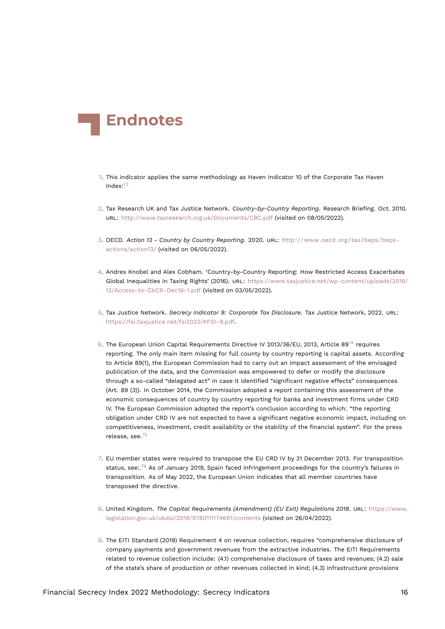<span id="page-15-17"></span>

- <span id="page-15-13"></span><span id="page-15-0"></span>[1.](#page-0-0) This indicator applies the same methodology as Haven Indicator 10 of the Corporate Tax Haven Index:[73](#page-21-3)
- <span id="page-15-11"></span><span id="page-15-1"></span>[2.](#page-0-1) Tax Research UK and Tax Justice Network. *Country-by-Country Reporting*. Research Briefing. Oct. 2010. URL: <http://www.taxresearch.org.uk/Documents/CBC.pdf> (visited on 08/05/2022).
- <span id="page-15-12"></span><span id="page-15-2"></span>[3.](#page-0-2) OECD. *Action 13 - Country by Country Reporting*. 2020. URL: [http://www.oecd.org/tax/beps/beps](http://www.oecd.org/tax/beps/beps-actions/action13/)[actions/action13/](http://www.oecd.org/tax/beps/beps-actions/action13/) (visited on 06/05/2022).
- <span id="page-15-3"></span>[4.](#page-1-1) Andres Knobel and Alex Cobham. 'Country-by-Country Reporting: How Restricted Access Exacerbates Global Inequalities in Taxing Rights' (2016). URL: [https://www.taxjustice.net/wp-content/uploads/2016/](https://www.taxjustice.net/wp-content/uploads/2016/12/Access-to-CbCR-Dec16-1.pdf) [12/Access-to-CbCR-Dec16-1.pdf](https://www.taxjustice.net/wp-content/uploads/2016/12/Access-to-CbCR-Dec16-1.pdf) (visited on 03/05/2022).
- <span id="page-15-10"></span><span id="page-15-4"></span>[5.](#page-1-2) Tax Justice Network. *Secrecy Indicator 9: Corporate Tax Disclosure*. Tax Justice Network, 2022. URL: [https://fsi.taxjustice.net/fsi2022/KFSI-9.pdf.](https://fsi.taxjustice.net/fsi2022/KFSI-9.pdf)
- <span id="page-15-14"></span><span id="page-15-5"></span>[6.](#page-1-3) The European Union Capital Requirements Directive IV 2013/36/EU, 2013, Article 89<sup>[74](#page-21-4)</sup> requires reporting. The only main item missing for full county by country reporting is capital assets. According to Article 89(1), the European Commission had to carry out an impact assessment of the envisaged publication of the data, and the Commission was empowered to defer or modify the disclosure through a so-called "delegated act" in case it identified "significant negative effects" consequences (Art. 89 (3)). In October 2014, the Commission adopted a report containing this assessment of the economic consequences of country by country reporting for banks and investment firms under CRD IV. The European Commission adopted the report's conclusion according to which: "the reporting obligation under CRD IV are not expected to have a significant negative economic impact, including on competitiveness, investment, credit availability or the stability of the financial system". For the press release, see.[75](#page-21-5)
- <span id="page-15-16"></span><span id="page-15-15"></span><span id="page-15-6"></span>[7.](#page-1-4) EU member states were required to transpose the EU CRD IV by 31 December 2013. For transposition status, see:.[76](#page-21-6) As of January 2019, Spain faced infringement proceedings for the country's failures in transposition. As of May 2022, the European Union indicates that all member countries have transposed the directive.
- <span id="page-15-9"></span><span id="page-15-7"></span>[8.](#page-1-5) United Kingdom. *The Capital Requirements (Amendment) (EU Exit) Regulations 2018*. URL: [https://www.](https://www.legislation.gov.uk/ukdsi/2018/9780111174661/contents) [legislation.gov.uk/ukdsi/2018/9780111174661/contents](https://www.legislation.gov.uk/ukdsi/2018/9780111174661/contents) (visited on 26/04/2022).
- <span id="page-15-8"></span>[9.](#page-1-6) The EITI Standard (2019) Requirement 4 on revenue collection, requires "comprehensive disclosure of company payments and government revenues from the extractive industries. The EITI Requirements related to revenue collection include: (4.1) comprehensive disclosure of taxes and revenues; (4.2) sale of the state's share of production or other revenues collected in kind; (4.3) infrastructure provisions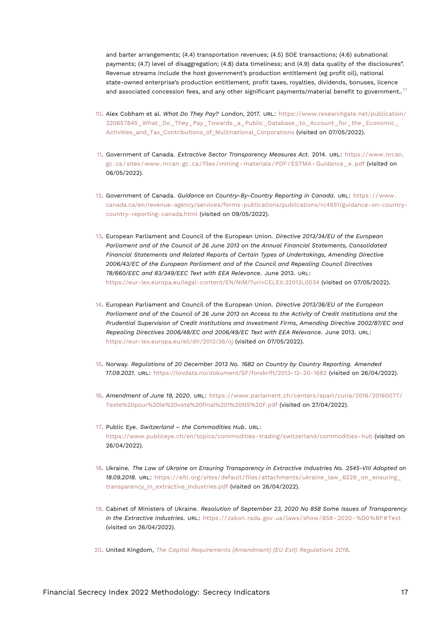<span id="page-16-13"></span><span id="page-16-12"></span>and barter arrangements; (4.4) transportation revenues; (4.5) SOE transactions; (4.6) subnational payments; (4.7) level of disaggregation; (4.8) data timeliness; and (4.9) data quality of the disclosures". Revenue streams include the host government's production entitlement (eg profit oil), national state-owned enterprise's production entitlement, profit taxes, royalties, dividends, bonuses, licence and associated concession fees, and any other significant payments/material benefit to government..<sup>[77](#page-21-7)</sup>

- <span id="page-16-0"></span>[10.](#page-2-0) Alex Cobham et al. *What Do They Pay?* London, 2017. URL: [https://www.researchgate.net/publication/](https://www.researchgate.net/publication/320657845_What_Do_They_Pay_Towards_a_Public_Database_to_Account_for_the_Economic_Activities_and_Tax_Contributions_of_Multinational_Corporations) [320657845\\_What\\_Do\\_They\\_Pay\\_Towards\\_a\\_Public\\_Database\\_to\\_Account\\_for\\_the\\_Economic\\_](https://www.researchgate.net/publication/320657845_What_Do_They_Pay_Towards_a_Public_Database_to_Account_for_the_Economic_Activities_and_Tax_Contributions_of_Multinational_Corporations) Activities and Tax Contributions of Multinational Corporations (visited on 07/05/2022).
- <span id="page-16-1"></span>[11.](#page-2-1) Government of Canada. *Extractive Sector Transparency Measures Act*. 2014. URL: [https://www.nrcan.](https://www.nrcan.gc.ca/sites/www.nrcan.gc.ca/files/mining-materials/PDF/ESTMA-Guidance_e.pdf) [gc . ca / sites / www . nrcan . gc . ca / files / mining - materials / PDF / ESTMA - Guidance \\_ e . pdf](https://www.nrcan.gc.ca/sites/www.nrcan.gc.ca/files/mining-materials/PDF/ESTMA-Guidance_e.pdf) (visited on 06/05/2022).
- <span id="page-16-2"></span>[12.](#page-2-2) Government of Canada. *Guidance on Country-By-Country Reporting in Canada*. URL: [https : / / www .](https://www.canada.ca/en/revenue-agency/services/forms-publications/publications/rc4651/guidance-on-country-country-reporting-canada.html) [canada.ca/en/revenue-agency/services/forms-publications/publications/rc4651/guidance-on-country](https://www.canada.ca/en/revenue-agency/services/forms-publications/publications/rc4651/guidance-on-country-country-reporting-canada.html)[country-reporting-canada.html](https://www.canada.ca/en/revenue-agency/services/forms-publications/publications/rc4651/guidance-on-country-country-reporting-canada.html) (visited on 09/05/2022).
- <span id="page-16-3"></span>[13.](#page-2-3) European Parliament and Council of the European Union. *Directive 2013/34/EU of the European Parliament and of the Council of 26 June 2013 on the Annual Financial Statements, Consolidated Financial Statements and Related Reports of Certain Types of Undertakings, Amending Directive 2006/43/EC of the European Parliament and of the Council and Repealing Council Directives 78/660/EEC and 83/349/EEC Text with EEA Relevance*. June 2013. URL: <https://eur-lex.europa.eu/legal-content/EN/NIM/?uri=CELEX:32013L0034> (visited on 07/05/2022).
- <span id="page-16-11"></span><span id="page-16-4"></span>[14.](#page-2-4) European Parliament and Council of the European Union. *Directive 2013/36/EU of the European Parliament and of the Council of 26 June 2013 on Access to the Activity of Credit Institutions and the Prudential Supervision of Credit Institutions and Investment Firms, Amending Directive 2002/87/EC and Repealing Directives 2006/48/EC and 2006/49/EC Text with EEA Relevance*. June 2013. URL: <https://eur-lex.europa.eu/eli/dir/2013/36/oj> (visited on 07/05/2022).
- <span id="page-16-5"></span>[15.](#page-2-5) Norway. *Regulations of 20 December 2013 No. 1682 on Country by Country Reporting. Amended 17.09.2021*. URL: <https://lovdata.no/dokument/SF/forskrift/2013-12-20-1682> (visited on 26/04/2022).
- <span id="page-16-6"></span>[16.](#page-3-0) *Amendment of June 19, 2020*. URL: [https://www.parlament.ch/centers/eparl/curia/2016/20160077/](https://www.parlament.ch/centers/eparl/curia/2016/20160077/Texte%20pour%20le%20vote%20final%201%20NS%20F.pdf) [Texte%20pour%20le%20vote%20final%201%20NS%20F.pdf](https://www.parlament.ch/centers/eparl/curia/2016/20160077/Texte%20pour%20le%20vote%20final%201%20NS%20F.pdf) (visited on 27/04/2022).
- <span id="page-16-7"></span>[17.](#page-3-1) Public Eye. *Switzerland – the Commodities Hub*. URL: <https://www.publiceye.ch/en/topics/commodities-trading/switzerland/commodities-hub> (visited on 26/04/2022).
- <span id="page-16-8"></span>[18.](#page-3-2) Ukraine. *The Law of Ukraine on Ensuring Transparency in Extractive Industries No. 2545-VIII Adopted on 18.09.2018*. URL: [https://eiti.org/sites/default/files/attachments/ukraine\\_law\\_6229\\_on\\_ensuring\\_](https://eiti.org/sites/default/files/attachments/ukraine_law_6229_on_ensuring_transparency_in_extractive_industries.pdf) transparency in extractive industries.pdf (visited on 26/04/2022).
- <span id="page-16-9"></span>[19.](#page-3-3) Cabinet of Ministers of Ukraine. *Resolution of September 23, 2020 No 858 Some Issues of Transparency in the Extractive Industries*. URL: [https://zakon.rada.gov.ua/laws/show/858- 2020- %D0%BF#Text](https://zakon.rada.gov.ua/laws/show/858-2020-%D0%BF#Text) (visited on 26/04/2022).
- <span id="page-16-10"></span>[20.](#page-3-4) United Kingdom, *[The Capital Requirements \(Amendment\) \(EU Exit\) Regulations 2018](#page-15-9)*.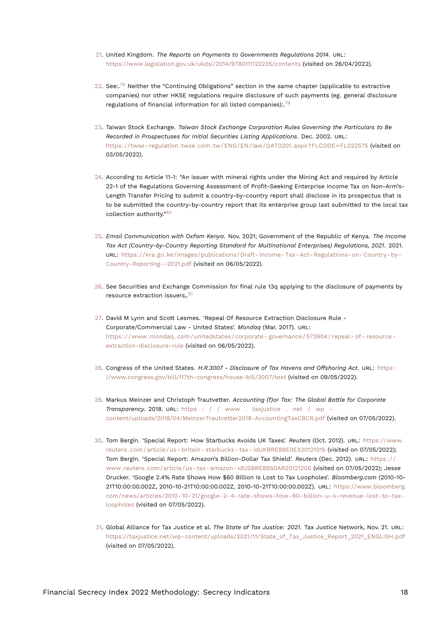- <span id="page-17-17"></span><span id="page-17-0"></span>[21.](#page-3-5) United Kingdom. *The Reports on Payments to Governments Regulations 2014*. URL: <https://www.legislation.gov.uk/ukdsi/2014/9780111122235/contents> (visited on 26/04/2022).
- <span id="page-17-13"></span><span id="page-17-12"></span><span id="page-17-1"></span>[22.](#page-3-6) See:.<sup>[78](#page-21-8)</sup> Neither the "Continuing Obligations" section in the same chapter (applicable to extractive companies) nor other HKSE regulations require disclosure of such payments (eg. general disclosure regulations of financial information for all listed companies):.[79](#page-21-9)
- <span id="page-17-15"></span><span id="page-17-2"></span>[23.](#page-3-7) Taiwan Stock Exchange. *Taiwan Stock Exchange Corporation Rules Governing the Particulars to Be Recorded in Prospectuses for Initial Securities Listing Applications*. Dec. 2002. URL: [https://twse- regulation.twse.com.tw/ENG/EN/law/DAT0201.aspx?FLCODE=FL022575](https://twse-regulation.twse.com.tw/ENG/EN/law/DAT0201.aspx?FLCODE=FL022575) (visited on 03/05/2022).
- <span id="page-17-3"></span>[24.](#page-3-8) According to Article 11-1: "An issuer with mineral rights under the Mining Act and required by Article 22-1 of the Regulations Governing Assessment of Profit-Seeking Enterprise Income Tax on Non-Arm's-Length Transfer Pricing to submit a country-by-country report shall disclose in its prospectus that is to be submitted the country-by-country report that its enterprise group last submitted to the local tax collection authority."[80](#page-21-10)
- <span id="page-17-14"></span><span id="page-17-4"></span>[25.](#page-4-0) *Email Communication with Oxfam Kenya*. Nov. 2021; Government of the Republic of Kenya. *The Income Tax Act (Country-by-Country Reporting Standard for Multinational Enterprises) Regulations, 2021*. 2021. URL: [https://kra.go.ke/images/publications/Draft- Income- Tax- Act- Regulations- on- Country- by-](https://kra.go.ke/images/publications/Draft-Income-Tax-Act-Regulations-on-Country-by-Country-Reporting--2021.pdf)[Country-Reporting--2021.pdf](https://kra.go.ke/images/publications/Draft-Income-Tax-Act-Regulations-on-Country-by-Country-Reporting--2021.pdf) (visited on 06/05/2022).
- <span id="page-17-16"></span><span id="page-17-5"></span>[26.](#page-4-1) See Securities and Exchange Commission for final rule 13q applying to the disclosure of payments by resource extraction issuers..<sup>[81](#page-21-11)</sup>
- <span id="page-17-6"></span>[27.](#page-4-2) David M Lynn and Scott Lesmes. 'Repeal Of Resource Extraction Disclosure Rule - Corporate/Commercial Law - United States'. *Mondaq* (Mar. 2017). URL: [https : / / www . mondaq . com / unitedstates / corporate - governance / 573904 / repeal - of - resource](https://www.mondaq.com/unitedstates/corporate-governance/573904/repeal-of-resource-extraction-disclosure-rule)  [extraction-disclosure-rule](https://www.mondaq.com/unitedstates/corporate-governance/573904/repeal-of-resource-extraction-disclosure-rule) (visited on 06/05/2022).
- <span id="page-17-7"></span>[28.](#page-4-3) Congress of the United States. *H.R.3007 - Disclosure of Tax Havens and Offshoring Act*. URL: [https :](https://www.congress.gov/bill/117th-congress/house-bill/3007/text) [//www.congress.gov/bill/117th-congress/house-bill/3007/text](https://www.congress.gov/bill/117th-congress/house-bill/3007/text) (visited on 09/05/2022).
- <span id="page-17-8"></span>[29.](#page-4-4) Markus Meinzer and Christoph Trautvetter. *Accounting (f)or Tax: The Global Battle for Corporate Transparency*. 2018. URL: [https : / / www . taxjustice . net / wp](https://www.taxjustice.net/wp-content/uploads/2018/04/MeinzerTrautvetter2018-AccountingTaxCBCR.pdf)  [content/uploads/2018/04/MeinzerTrautvetter2018-AccountingTaxCBCR.pdf](https://www.taxjustice.net/wp-content/uploads/2018/04/MeinzerTrautvetter2018-AccountingTaxCBCR.pdf) (visited on 07/05/2022).
- <span id="page-17-9"></span>[30.](#page-4-5) Tom Bergin. 'Special Report: How Starbucks Avoids UK Taxes'. *Reuters* (Oct. 2012). URL: [https://www.](https://www.reuters.com/article/us-britain-starbucks-tax-idUKBRE89E0EX20121015) [reuters . com / article / us - britain - starbucks - tax - idUKBRE89E0EX20121015](https://www.reuters.com/article/us-britain-starbucks-tax-idUKBRE89E0EX20121015) (visited on 07/05/2022); Tom Bergin. 'Special Report: Amazon's Billion-Dollar Tax Shield'. *Reuters* (Dec. 2012). URL: [https : / /](https://www.reuters.com/article/us-tax-amazon-idUSBRE8B50AR20121206) [www.reuters.com/article/us- tax- amazon- idUSBRE8B50AR20121206](https://www.reuters.com/article/us-tax-amazon-idUSBRE8B50AR20121206) (visited on 07/05/2022); Jesse Drucker. 'Google 2.4% Rate Shows How \$60 Billion Is Lost to Tax Loopholes'. *Bloomberg.com* (2010-10- 21T10:00:00.002Z, 2010-10-21T10:00:00.002Z, 2010-10-21T10:00:00.002Z). URL: [https://www.bloomberg.](https://www.bloomberg.com/news/articles/2010-10-21/google-2-4-rate-shows-how-60-billion-u-s-revenue-lost-to-tax-loopholes) [com/news/articles/2010-10-21/google-2-4-rate-shows-how-60-billion-u-s-revenue-lost-to-tax](https://www.bloomberg.com/news/articles/2010-10-21/google-2-4-rate-shows-how-60-billion-u-s-revenue-lost-to-tax-loopholes)[loopholes](https://www.bloomberg.com/news/articles/2010-10-21/google-2-4-rate-shows-how-60-billion-u-s-revenue-lost-to-tax-loopholes) (visited on 07/05/2022).
- <span id="page-17-11"></span><span id="page-17-10"></span>[31.](#page-4-6) Global Alliance for Tax Justice et al. *The State of Tax Justice: 2021*. Tax Justice Network, Nov. 21. URL: [https://taxjustice.net/wp-content/uploads/2021/11/State\\_of\\_Tax\\_Justice\\_Report\\_2021\\_ENGLISH.pdf](https://taxjustice.net/wp-content/uploads/2021/11/State_of_Tax_Justice_Report_2021_ENGLISH.pdf) (visited on 07/05/2022).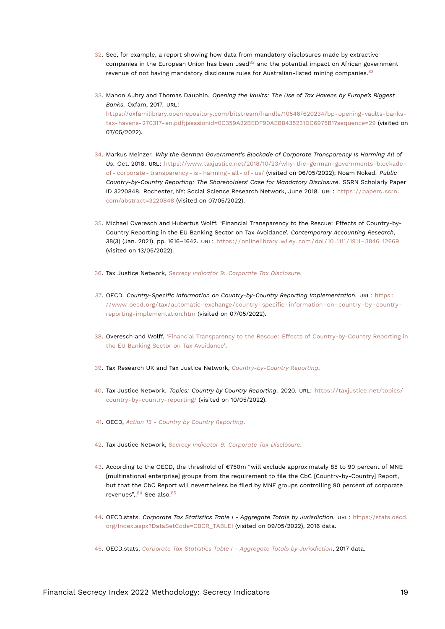- <span id="page-18-20"></span><span id="page-18-17"></span><span id="page-18-16"></span><span id="page-18-0"></span>[32.](#page-5-1) See, for example, a report showing how data from mandatory disclosures made by extractive companies in the European Union has been used $82$  and the potential impact on African government revenue of not having mandatory disclosure rules for Australian-listed mining companies.<sup>[83](#page-22-0)</sup>
- <span id="page-18-1"></span>[33.](#page-5-2) Manon Aubry and Thomas Dauphin. *Opening the Vaults: The Use of Tax Havens by Europe's Biggest Banks*. Oxfam, 2017. URL: [https://oxfamilibrary.openrepository.com/bitstream/handle/10546/620234/bp-opening-vaults-banks](https://oxfamilibrary.openrepository.com/bitstream/handle/10546/620234/bp-opening-vaults-banks-tax-havens-270317-en.pdf;jsessionid=0C359A22BEDF90AEB8435231DC6975B1?sequence=29)[tax-havens-270317-en.pdf;jsessionid=0C359A22BEDF90AEB8435231DC6975B1?sequence=29](https://oxfamilibrary.openrepository.com/bitstream/handle/10546/620234/bp-opening-vaults-banks-tax-havens-270317-en.pdf;jsessionid=0C359A22BEDF90AEB8435231DC6975B1?sequence=29) (visited on 07/05/2022).
- <span id="page-18-2"></span>[34.](#page-6-0) Markus Meinzer. *Why the German Government's Blockade of Corporate Transparency Is Harming All of Us*. Oct. 2018. URL: [https://www.taxjustice.net/2018/10/23/why-the-german-governments-blockade](https://www.taxjustice.net/2018/10/23/why-the-german-governments-blockade-of-corporate-transparency-is-harming-all-of-us/)[of - corporate - transparency - is - harming - all - of - us/](https://www.taxjustice.net/2018/10/23/why-the-german-governments-blockade-of-corporate-transparency-is-harming-all-of-us/) (visited on 06/05/2022); Noam Noked. *Public Country-by-Country Reporting: The Shareholders' Case for Mandatory Disclosure*. SSRN Scholarly Paper ID 3220848. Rochester, NY: Social Science Research Network, June 2018. URL: [https://papers.ssrn.](https://papers.ssrn.com/abstract=3220848) [com/abstract=3220848](https://papers.ssrn.com/abstract=3220848) (visited on 07/05/2022).
- <span id="page-18-14"></span><span id="page-18-3"></span>[35.](#page-6-1) Michael Overesch and Hubertus Wolff. 'Financial Transparency to the Rescue: Effects of Country-by-Country Reporting in the EU Banking Sector on Tax Avoidance'. *Contemporary Accounting Research*, 38(3) (Jan. 2021), pp. 1616–1642. URL: [https://onlinelibrary.wiley.com/doi/10.1111/1911- 3846.12669](https://onlinelibrary.wiley.com/doi/10.1111/1911-3846.12669) (visited on 13/05/2022).
- <span id="page-18-4"></span>[36.](#page-6-2) Tax Justice Network, *[Secrecy Indicator 9: Corporate Tax Disclosure](#page-15-10)*.
- <span id="page-18-5"></span>[37.](#page-6-3) OECD. *Country-Specific Information on Country-by-Country Reporting Implementation*. URL: [https :](https://www.oecd.org/tax/automatic-exchange/country-specific-information-on-country-by-country-reporting-implementation.htm) [//www.oecd.org/tax/automatic- exchange/country- specific- information- on- country- by- country](https://www.oecd.org/tax/automatic-exchange/country-specific-information-on-country-by-country-reporting-implementation.htm)[reporting-implementation.htm](https://www.oecd.org/tax/automatic-exchange/country-specific-information-on-country-by-country-reporting-implementation.htm) (visited on 07/05/2022).
- <span id="page-18-6"></span>[38.](#page-6-4) Overesch and Wolff, ['Financial Transparency to the Rescue: Effects of Country-by-Country Reporting in](#page-18-14) [the EU Banking Sector on Tax Avoidance'](#page-18-14).
- <span id="page-18-7"></span>[39.](#page-6-5) Tax Research UK and Tax Justice Network, *[Country-by-Country Reporting](#page-15-11)*.
- <span id="page-18-8"></span>[40.](#page-6-6) Tax Justice Network. *Topics: Country by Country Reporting*. 2020. URL: [https://taxjustice.net/topics/](https://taxjustice.net/topics/country-by-country-reporting/) [country-by-country-reporting/](https://taxjustice.net/topics/country-by-country-reporting/) (visited on 10/05/2022).
- <span id="page-18-9"></span>[41.](#page-7-0) OECD, *[Action 13 - Country by Country Reporting](#page-15-12)*.
- <span id="page-18-10"></span>[42.](#page-7-1) Tax Justice Network, *[Secrecy Indicator 9: Corporate Tax Disclosure](#page-15-10)*.
- <span id="page-18-11"></span>[43.](#page-7-2) According to the OECD, the threshold of €750m "will exclude approximately 85 to 90 percent of MNE [multinational enterprise] groups from the requirement to file the CbC [Country-by-Country] Report, but that the CbC Report will nevertheless be filed by MNE groups controlling 90 percent of corporate revenues"..<sup>[84](#page-22-1)</sup> See also.<sup>[85](#page-22-2)</sup>
- <span id="page-18-19"></span><span id="page-18-18"></span><span id="page-18-15"></span><span id="page-18-12"></span>[44.](#page-7-3) OECD.stats. *Corporate Tax Statistics Table I - Aggregate Totals by Jurisdiction*. URL: [https://stats.oecd.](https://stats.oecd.org/Index.aspx?DataSetCode=CBCR_TABLEI) [org/Index.aspx?DataSetCode=CBCR\\_TABLEI](https://stats.oecd.org/Index.aspx?DataSetCode=CBCR_TABLEI) (visited on 09/05/2022), 2016 data.
- <span id="page-18-13"></span>[45.](#page-7-4) OECD.stats, *[Corporate Tax Statistics Table I - Aggregate Totals by Jurisdiction](#page-18-15)*, 2017 data.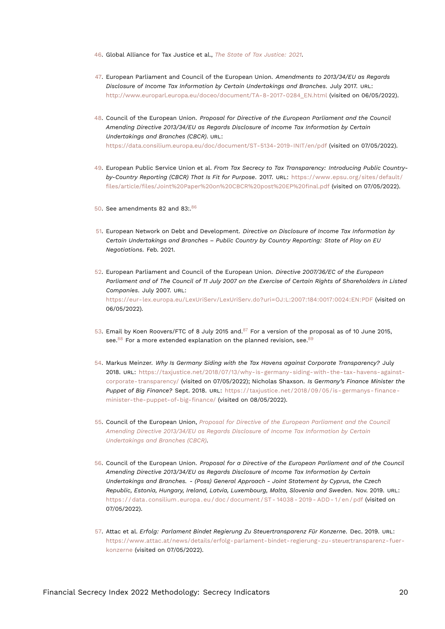- <span id="page-19-18"></span><span id="page-19-0"></span>[46.](#page-7-5) Global Alliance for Tax Justice et al., *[The State of Tax Justice: 2021](#page-17-11)*.
- <span id="page-19-14"></span><span id="page-19-1"></span>[47.](#page-7-6) European Parliament and Council of the European Union. *Amendments to 2013/34/EU as Regards Disclosure of Income Tax Information by Certain Undertakings and Branches*. July 2017. URL: [http://www.europarl.europa.eu/doceo/document/TA-8-2017-0284\\_EN.html](http://www.europarl.europa.eu/doceo/document/TA-8-2017-0284_EN.html) (visited on 06/05/2022).
- <span id="page-19-12"></span><span id="page-19-2"></span>[48.](#page-7-7) Council of the European Union. *Proposal for Directive of the European Parliament and the Council Amending Directive 2013/34/EU as Regards Disclosure of Income Tax Information by Certain Undertakings and Branches (CBCR)*. URL: <https://data.consilium.europa.eu/doc/document/ST-5134-2019-INIT/en/pdf> (visited on 07/05/2022).
- <span id="page-19-3"></span>[49.](#page-7-8) European Public Service Union et al. *From Tax Secrecy to Tax Transparency: Introducing Public Countryby-Country Reporting (CBCR) That Is Fit for Purpose*. 2017. URL: [https://www.epsu.org/sites/default/](https://www.epsu.org/sites/default/files/article/files/Joint%20Paper%20on%20CBCR%20post%20EP%20final.pdf) [files/article/files/Joint%20Paper%20on%20CBCR%20post%20EP%20final.pdf](https://www.epsu.org/sites/default/files/article/files/Joint%20Paper%20on%20CBCR%20post%20EP%20final.pdf) (visited on 07/05/2022).
- <span id="page-19-13"></span><span id="page-19-4"></span>[50.](#page-8-0) See amendments 82 and 83:.[86](#page-22-3)
- <span id="page-19-5"></span>[51.](#page-8-1) European Network on Debt and Development. *Directive on Disclosure of Income Tax Information by Certain Undertakings and Branches – Public Country by Country Reporting: State of Play on EU Negotiations*. Feb. 2021.
- <span id="page-19-6"></span>[52.](#page-8-2) European Parliament and Council of the European Union. *Directive 2007/36/EC of the European Parliament and of The Council of 11 July 2007 on the Exercise of Certain Rights of Shareholders in Listed Companies*. July 2007. URL: <https://eur-lex.europa.eu/LexUriServ/LexUriServ.do?uri=OJ:L:2007:184:0017:0024:EN:PDF> (visited on 06/05/2022).
- <span id="page-19-17"></span><span id="page-19-16"></span><span id="page-19-15"></span><span id="page-19-7"></span>[53.](#page-8-3) Email by Koen Roovers/FTC of 8 July 2015 and.<sup>[87](#page-22-4)</sup> For a version of the proposal as of 10 June 2015, see.<sup>[88](#page-22-5)</sup> For a more extended explanation on the planned revision, see.<sup>[89](#page-22-6)</sup>
- <span id="page-19-8"></span>[54.](#page-8-4) Markus Meinzer. *Why Is Germany Siding with the Tax Havens against Corporate Transparency?* July 2018. URL: [https://taxjustice.net/2018/07/13/why-is-germany-siding-with-the-tax-havens-against](https://taxjustice.net/2018/07/13/why-is-germany-siding-with-the-tax-havens-against-corporate-transparency/)[corporate-transparency/](https://taxjustice.net/2018/07/13/why-is-germany-siding-with-the-tax-havens-against-corporate-transparency/) (visited on 07/05/2022); Nicholas Shaxson. *Is Germany's Finance Minister the Puppet of Big Finance?* Sept. 2018. URL: [https://taxjustice.net/2018/09/05/is- germanys- finance](https://taxjustice.net/2018/09/05/is-germanys-finance-minister-the-puppet-of-big-finance/)[minister-the-puppet-of-big-finance/](https://taxjustice.net/2018/09/05/is-germanys-finance-minister-the-puppet-of-big-finance/) (visited on 08/05/2022).
- <span id="page-19-9"></span>[55.](#page-8-5) Council of the European Union, *[Proposal for Directive of the European Parliament and the Council](#page-19-12) [Amending Directive 2013/34/EU as Regards Disclosure of Income Tax Information by Certain](#page-19-12) [Undertakings and Branches \(CBCR\)](#page-19-12)*.
- <span id="page-19-10"></span>[56.](#page-8-6) Council of the European Union. *Proposal for a Directive of the European Parliament and of the Council Amending Directive 2013/34/EU as Regards Disclosure of Income Tax Information by Certain Undertakings and Branches. - (Poss) General Approach - Joint Statement by Cyprus, the Czech Republic, Estonia, Hungary, Ireland, Latvia, Luxembourg, Malta, Slovenia and Sweden*. Nov. 2019. URL: [https : / / data . consilium . europa . eu / doc / document / ST - 14038 - 2019 - ADD - 1 / en / pdf](https://data.consilium.europa.eu/doc/document/ST-14038-2019-ADD-1/en/pdf) (visited on 07/05/2022).
- <span id="page-19-11"></span>[57.](#page-8-7) Attac et al. *Erfolg: Parlament Bindet Regierung Zu Steuertransparenz Für Konzerne*. Dec. 2019. URL: [https://www.attac.at/news/details/erfolg-parlament-bindet-regierung-zu-steuertransparenz-fuer](https://www.attac.at/news/details/erfolg-parlament-bindet-regierung-zu-steuertransparenz-fuer-konzerne)[konzerne](https://www.attac.at/news/details/erfolg-parlament-bindet-regierung-zu-steuertransparenz-fuer-konzerne) (visited on 07/05/2022).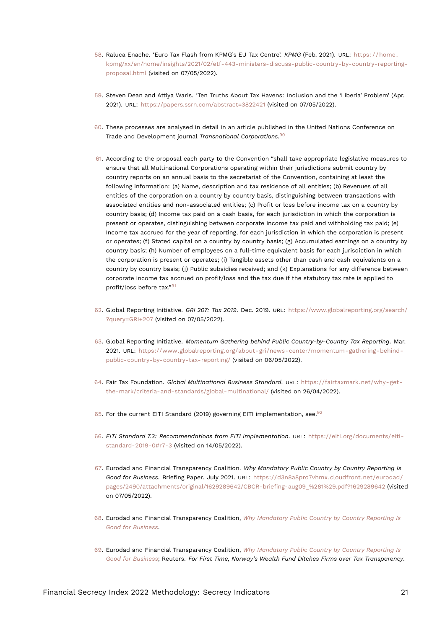- <span id="page-20-16"></span><span id="page-20-0"></span>[58.](#page-8-8) Raluca Enache. 'Euro Tax Flash from KPMG's EU Tax Centre'. *KPMG* (Feb. 2021). URL: [https://home.](https://home.kpmg/xx/en/home/insights/2021/02/etf-443-ministers-discuss-public-country-by-country-reporting-proposal.html) [kpmg/xx/en/home/insights/2021/02/etf-443-ministers-discuss-public-country-by-country-reporting](https://home.kpmg/xx/en/home/insights/2021/02/etf-443-ministers-discuss-public-country-by-country-reporting-proposal.html)[proposal.html](https://home.kpmg/xx/en/home/insights/2021/02/etf-443-ministers-discuss-public-country-by-country-reporting-proposal.html) (visited on 07/05/2022).
- <span id="page-20-1"></span>[59.](#page-9-0) Steven Dean and Attiya Waris. 'Ten Truths About Tax Havens: Inclusion and the 'Liberia' Problem' (Apr. 2021). URL: <https://papers.ssrn.com/abstract=3822421> (visited on 07/05/2022).
- <span id="page-20-2"></span>[60.](#page-9-1) These processes are analysed in detail in an article published in the United Nations Conference on Trade and Development journal *Transnational Corporations*. [90](#page-22-7)
- <span id="page-20-13"></span><span id="page-20-3"></span>[61.](#page-9-2) According to the proposal each party to the Convention "shall take appropriate legislative measures to ensure that all Multinational Corporations operating within their jurisdictions submit country by country reports on an annual basis to the secretariat of the Convention, containing at least the following information: (a) Name, description and tax residence of all entities; (b) Revenues of all entities of the corporation on a country by country basis, distinguishing between transactions with associated entities and non-associated entities; (c) Profit or loss before income tax on a country by country basis; (d) Income tax paid on a cash basis, for each jurisdiction in which the corporation is present or operates, distinguishing between corporate income tax paid and withholding tax paid; (e) Income tax accrued for the year of reporting, for each jurisdiction in which the corporation is present or operates; (f) Stated capital on a country by country basis; (g) Accumulated earnings on a country by country basis; (h) Number of employees on a full-time equivalent basis for each jurisdiction in which the corporation is present or operates; (i) Tangible assets other than cash and cash equivalents on a country by country basis; (j) Public subsidies received; and (k) Explanations for any difference between corporate income tax accrued on profit/loss and the tax due if the statutory tax rate is applied to profit/loss before tax."[91](#page-22-8)
- <span id="page-20-14"></span><span id="page-20-4"></span>[62.](#page-9-3) Global Reporting Initiative. *GRI 207: Tax 2019*. Dec. 2019. URL: [https://www.globalreporting.org/search/](https://www.globalreporting.org/search/?query=GRI+207) [?query=GRI+207](https://www.globalreporting.org/search/?query=GRI+207) (visited on 07/05/2022).
- <span id="page-20-5"></span>[63.](#page-9-4) Global Reporting Initiative. *Momentum Gathering behind Public Country-by-Country Tax Reporting*. Mar. 2021. URL: [https://www.globalreporting.org/about-gri/news-center/momentum-gathering-behind](https://www.globalreporting.org/about-gri/news-center/momentum-gathering-behind-public-country-by-country-tax-reporting/)[public-country-by-country-tax-reporting/](https://www.globalreporting.org/about-gri/news-center/momentum-gathering-behind-public-country-by-country-tax-reporting/) (visited on 06/05/2022).
- <span id="page-20-6"></span>[64.](#page-10-0) Fair Tax Foundation. *Global Multinational Business Standard*. URL: [https://fairtaxmark.net/why-get](https://fairtaxmark.net/why-get-the-mark/criteria-and-standards/global-multinational/)[the-mark/criteria-and-standards/global-multinational/](https://fairtaxmark.net/why-get-the-mark/criteria-and-standards/global-multinational/) (visited on 26/04/2022).
- <span id="page-20-15"></span><span id="page-20-7"></span>[65.](#page-10-1) For the current EITI Standard (2019) governing EITI implementation, see.  $92$
- <span id="page-20-8"></span>[66.](#page-10-2) *EITI Standard 7.3: Recommendations from EITI Implementation*. URL: [https://eiti.org/documents/eiti](https://eiti.org/documents/eiti-standard-2019-0#r7-3)[standard-2019-0#r7-3](https://eiti.org/documents/eiti-standard-2019-0#r7-3) (visited on 14/05/2022).
- <span id="page-20-12"></span><span id="page-20-9"></span>[67.](#page-10-3) Eurodad and Financial Transparency Coalition. *Why Mandatory Public Country by Country Reporting Is Good for Business*. Briefing Paper. July 2021. URL: [https://d3n8a8pro7vhmx.cloudfront.net/eurodad/](https://d3n8a8pro7vhmx.cloudfront.net/eurodad/pages/2490/attachments/original/1629289642/CBCR-briefing-aug09_%281%29.pdf?1629289642) [pages/2490/attachments/original/1629289642/CBCR-briefing-aug09\\_%281%29.pdf?1629289642](https://d3n8a8pro7vhmx.cloudfront.net/eurodad/pages/2490/attachments/original/1629289642/CBCR-briefing-aug09_%281%29.pdf?1629289642) (visited on 07/05/2022).
- <span id="page-20-10"></span>[68.](#page-10-4) Eurodad and Financial Transparency Coalition, *[Why Mandatory Public Country by Country Reporting Is](#page-20-12) [Good for Business](#page-20-12)*.
- <span id="page-20-11"></span>[69.](#page-10-5) Eurodad and Financial Transparency Coalition, *[Why Mandatory Public Country by Country Reporting Is](#page-20-12) [Good for Business](#page-20-12)*; Reuters. *For First Time, Norway's Wealth Fund Ditches Firms over Tax Transparency*.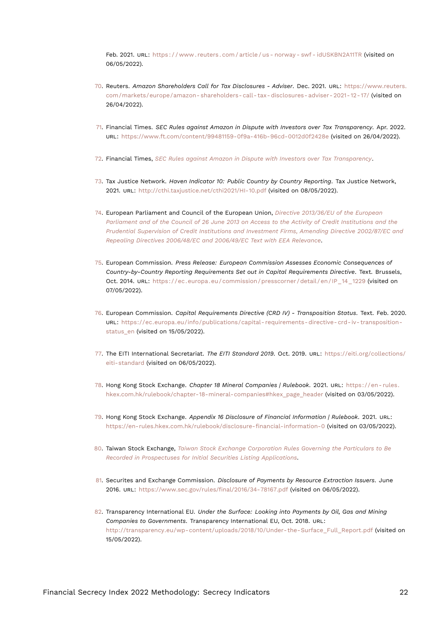<span id="page-21-15"></span>Feb. 2021. URL: https://www.reuters.com/article/us-norway-swf-idUSKBN2A11TR (visited on 06/05/2022).

- <span id="page-21-0"></span>[70.](#page-10-6) Reuters. *Amazon Shareholders Call for Tax Disclosures - Adviser*. Dec. 2021. URL: [https://www.reuters.](https://www.reuters.com/markets/europe/amazon-shareholders-call-tax-disclosures-adviser-2021-12-17/) [com/markets/europe/amazon- shareholders- call- tax- disclosures- adviser- 2021- 12- 17/](https://www.reuters.com/markets/europe/amazon-shareholders-call-tax-disclosures-adviser-2021-12-17/) (visited on 26/04/2022).
- <span id="page-21-13"></span><span id="page-21-1"></span>[71.](#page-11-1) Financial Times. *SEC Rules against Amazon in Dispute with Investors over Tax Transparency*. Apr. 2022. URL: <https://www.ft.com/content/99481159-0f9a-416b-96cd-0012d0f2428e> (visited on 26/04/2022).
- <span id="page-21-2"></span>[72.](#page-11-2) Financial Times, *[SEC Rules against Amazon in Dispute with Investors over Tax Transparency](#page-21-13)*.
- <span id="page-21-3"></span>[73.](#page-15-13) Tax Justice Network. *Haven Indicator 10: Public Country by Country Reporting*. Tax Justice Network, 2021. URL: <http://cthi.taxjustice.net/cthi2021/HI-10.pdf> (visited on 08/05/2022).
- <span id="page-21-4"></span>[74.](#page-15-14) European Parliament and Council of the European Union, *[Directive 2013/36/EU of the European](#page-16-11) [Parliament and of the Council of 26 June 2013 on Access to the Activity of Credit Institutions and the](#page-16-11) [Prudential Supervision of Credit Institutions and Investment Firms, Amending Directive 2002/87/EC and](#page-16-11) [Repealing Directives 2006/48/EC and 2006/49/EC Text with EEA Relevance](#page-16-11)*.
- <span id="page-21-5"></span>[75.](#page-15-15) European Commission. *Press Release: European Commission Assesses Economic Consequences of Country-by-Country Reporting Requirements Set out in Capital Requirements Directive*. Text. Brussels, Oct. 2014. URL: [https://ec.europa.eu/commission/presscorner/detail/en/IP\\_14\\_1229](https://ec.europa.eu/commission/presscorner/detail/en/IP_14_1229) (visited on 07/05/2022).
- <span id="page-21-6"></span>[76.](#page-15-16) European Commission. *Capital Requirements Directive (CRD IV) - Transposition Status*. Text. Feb. 2020. URL: [https://ec.europa.eu/info/publications/capital-requirements-directive-crd-iv-transposition](https://ec.europa.eu/info/publications/capital-requirements-directive-crd-iv-transposition-status_en)[status\\_en](https://ec.europa.eu/info/publications/capital-requirements-directive-crd-iv-transposition-status_en) (visited on 15/05/2022).
- <span id="page-21-14"></span><span id="page-21-7"></span>[77.](#page-16-12) The EITI International Secretariat. *The EITI Standard 2019*. Oct. 2019. URL: [https://eiti.org/collections/](https://eiti.org/collections/eiti-standard) [eiti-standard](https://eiti.org/collections/eiti-standard) (visited on 06/05/2022).
- <span id="page-21-8"></span>[78.](#page-17-12) Hong Kong Stock Exchange. *Chapter 18 Mineral Companies | Rulebook*. 2021. URL: [https://en- rules.](https://en-rules.hkex.com.hk/rulebook/chapter-18-mineral-companies#hkex_page_header) [hkex.com.hk/rulebook/chapter-18-mineral-companies#hkex\\_page\\_header](https://en-rules.hkex.com.hk/rulebook/chapter-18-mineral-companies#hkex_page_header) (visited on 03/05/2022).
- <span id="page-21-9"></span>[79.](#page-17-13) Hong Kong Stock Exchange. *Appendix 16 Disclosure of Financial Information | Rulebook*. 2021. URL: <https://en-rules.hkex.com.hk/rulebook/disclosure-financial-information-0> (visited on 03/05/2022).
- <span id="page-21-10"></span>[80.](#page-17-14) Taiwan Stock Exchange, *[Taiwan Stock Exchange Corporation Rules Governing the Particulars to Be](#page-17-15) [Recorded in Prospectuses for Initial Securities Listing Applications](#page-17-15)*.
- <span id="page-21-11"></span>[81.](#page-17-16) Securites and Exchange Commission. *Disclosure of Payments by Resource Extraction Issuers*. June 2016. URL: <https://www.sec.gov/rules/final/2016/34-78167.pdf> (visited on 06/05/2022).
- <span id="page-21-12"></span>[82.](#page-18-16) Transparency International EU. *Under the Surface: Looking into Payments by Oil, Gas and Mining Companies to Governments*. Transparency International EU, Oct. 2018. URL: http://transparency.eu/wp-content/uploads/2018/10/Under-the-Surface Full\_Report.pdf (visited on 15/05/2022).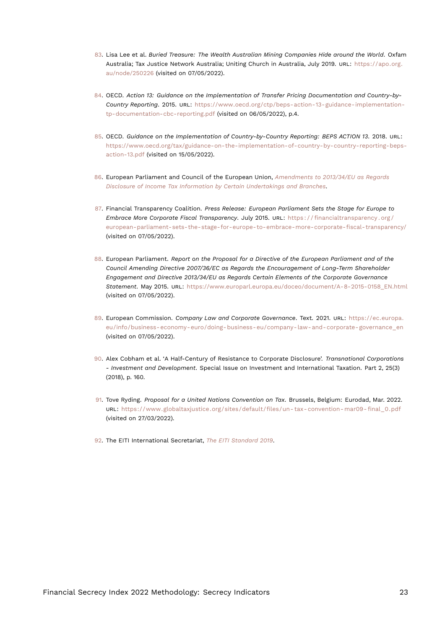- <span id="page-22-10"></span><span id="page-22-0"></span>[83.](#page-18-17) Lisa Lee et al. *Buried Treasure: The Wealth Australian Mining Companies Hide around the World*. Oxfam Australia; Tax Justice Network Australia; Uniting Church in Australia, July 2019. URL: [https://apo.org.](https://apo.org.au/node/250226) [au/node/250226](https://apo.org.au/node/250226) (visited on 07/05/2022).
- <span id="page-22-1"></span>[84.](#page-18-18) OECD. *Action 13: Guidance on the Implementation of Transfer Pricing Documentation and Country-by-Country Reporting*. 2015. URL: [https://www.oecd.org/ctp/beps-action-13-guidance-implementation](https://www.oecd.org/ctp/beps-action-13-guidance-implementation-tp-documentation-cbc-reporting.pdf)[tp-documentation-cbc-reporting.pdf](https://www.oecd.org/ctp/beps-action-13-guidance-implementation-tp-documentation-cbc-reporting.pdf) (visited on 06/05/2022), p.4.
- <span id="page-22-2"></span>[85.](#page-18-19) OECD. *Guidance on the Implementation of Country-by-Country Reporting: BEPS ACTION 13*. 2018. URL: [https://www.oecd.org/tax/guidance-on-the-implementation-of-country-by-country-reporting-beps](https://www.oecd.org/tax/guidance-on-the-implementation-of-country-by-country-reporting-beps-action-13.pdf)[action-13.pdf](https://www.oecd.org/tax/guidance-on-the-implementation-of-country-by-country-reporting-beps-action-13.pdf) (visited on 15/05/2022).
- <span id="page-22-3"></span>[86.](#page-19-13) European Parliament and Council of the European Union, *[Amendments to 2013/34/EU as Regards](#page-19-14) [Disclosure of Income Tax Information by Certain Undertakings and Branches](#page-19-14)*.
- <span id="page-22-4"></span>[87.](#page-19-15) Financial Transparency Coalition. *Press Release: European Parliament Sets the Stage for Europe to Embrace More Corporate Fiscal Transparency*. July 2015. URL: [https : / / financialtransparency . org /](https://financialtransparency.org/european-parliament-sets-the-stage-for-europe-to-embrace-more-corporate-fiscal-transparency/) [european-parliament-sets-the-stage-for-europe-to-embrace-more-corporate-fiscal-transparency/](https://financialtransparency.org/european-parliament-sets-the-stage-for-europe-to-embrace-more-corporate-fiscal-transparency/) (visited on 07/05/2022).
- <span id="page-22-5"></span>[88.](#page-19-16) European Parliament. *Report on the Proposal for a Directive of the European Parliament and of the Council Amending Directive 2007/36/EC as Regards the Encouragement of Long-Term Shareholder Engagement and Directive 2013/34/EU as Regards Certain Elements of the Corporate Governance Statement*. May 2015. URL: [https://www.europarl.europa.eu/doceo/document/A-8-2015-0158\\_EN.html](https://www.europarl.europa.eu/doceo/document/A-8-2015-0158_EN.html) (visited on 07/05/2022).
- <span id="page-22-6"></span>[89.](#page-19-17) European Commission. *Company Law and Corporate Governance*. Text. 2021. URL: [https://ec.europa.](https://ec.europa.eu/info/business-economy-euro/doing-business-eu/company-law-and-corporate-governance_en) [eu/info/business-economy-euro/doing-business-eu/company-law-and-corporate-governance\\_en](https://ec.europa.eu/info/business-economy-euro/doing-business-eu/company-law-and-corporate-governance_en) (visited on 07/05/2022).
- <span id="page-22-7"></span>[90.](#page-20-13) Alex Cobham et al. 'A Half-Century of Resistance to Corporate Disclosure'. *Transnational Corporations - Investment and Development*. Special Issue on Investment and International Taxation. Part 2, 25(3) (2018), p. 160.
- <span id="page-22-8"></span>[91.](#page-20-14) Tove Ryding. *Proposal for a United Nations Convention on Tax*. Brussels, Belgium: Eurodad, Mar. 2022. URL: [https://www.globaltaxjustice.org/sites/default/files/un- tax- convention- mar09- final\\_0.pdf](https://www.globaltaxjustice.org/sites/default/files/un-tax-convention-mar09-final_0.pdf) (visited on 27/03/2022).
- <span id="page-22-9"></span>[92.](#page-20-15) The EITI International Secretariat, *[The EITI Standard 2019](#page-21-14)*.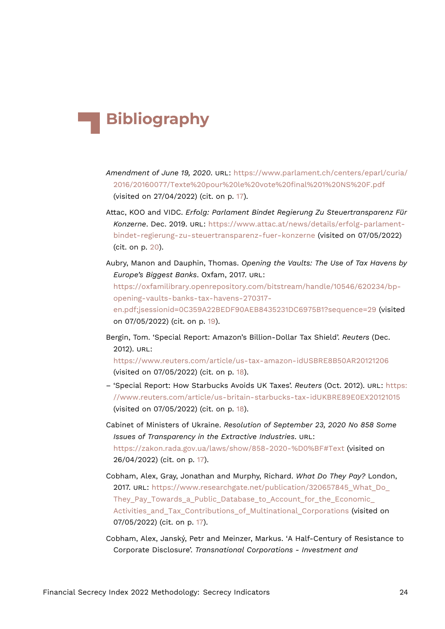## **Bibliography**

- *Amendment of June 19, 2020*. URL: [https://www.parlament.ch/centers/eparl/curia/](https://www.parlament.ch/centers/eparl/curia/2016/20160077/Texte%20pour%20le%20vote%20final%201%20NS%20F.pdf) [2016/20160077/Texte%20pour%20le%20vote%20final%201%20NS%20F.pdf](https://www.parlament.ch/centers/eparl/curia/2016/20160077/Texte%20pour%20le%20vote%20final%201%20NS%20F.pdf) (visited on 27/04/2022) (cit. on p. [17\)](#page-16-13).
- Attac, KOO and VIDC. *Erfolg: Parlament Bindet Regierung Zu Steuertransparenz Für Konzerne*. Dec. 2019. URL: [https://www.attac.at/news/details/erfolg-parlament](https://www.attac.at/news/details/erfolg-parlament-bindet-regierung-zu-steuertransparenz-fuer-konzerne)[bindet-regierung-zu-steuertransparenz-fuer-konzerne](https://www.attac.at/news/details/erfolg-parlament-bindet-regierung-zu-steuertransparenz-fuer-konzerne) (visited on 07/05/2022) (cit. on p. [20\)](#page-19-18).
- Aubry, Manon and Dauphin, Thomas. *Opening the Vaults: The Use of Tax Havens by Europe's Biggest Banks*. Oxfam, 2017. URL: [https://oxfamilibrary.openrepository.com/bitstream/handle/10546/620234/bp](https://oxfamilibrary.openrepository.com/bitstream/handle/10546/620234/bp-opening-vaults-banks-tax-havens-270317-en.pdf;jsessionid=0C359A22BEDF90AEB8435231DC6975B1?sequence=29)[opening-vaults-banks-tax-havens-270317](https://oxfamilibrary.openrepository.com/bitstream/handle/10546/620234/bp-opening-vaults-banks-tax-havens-270317-en.pdf;jsessionid=0C359A22BEDF90AEB8435231DC6975B1?sequence=29) [en.pdf;jsessionid=0C359A22BEDF90AEB8435231DC6975B1?sequence=29](https://oxfamilibrary.openrepository.com/bitstream/handle/10546/620234/bp-opening-vaults-banks-tax-havens-270317-en.pdf;jsessionid=0C359A22BEDF90AEB8435231DC6975B1?sequence=29) (visited on 07/05/2022) (cit. on p. [19](#page-18-20)).
- Bergin, Tom. 'Special Report: Amazon's Billion-Dollar Tax Shield'. *Reuters* (Dec. 2012). URL:

<https://www.reuters.com/article/us-tax-amazon-idUSBRE8B50AR20121206> (visited on 07/05/2022) (cit. on p. [18\)](#page-17-17).

- 'Special Report: How Starbucks Avoids UK Taxes'. *Reuters* (Oct. 2012). URL: [https:](https://www.reuters.com/article/us-britain-starbucks-tax-idUKBRE89E0EX20121015) [//www.reuters.com/article/us-britain-starbucks-tax-idUKBRE89E0EX20121015](https://www.reuters.com/article/us-britain-starbucks-tax-idUKBRE89E0EX20121015) (visited on 07/05/2022) (cit. on p. [18\)](#page-17-17).
- Cabinet of Ministers of Ukraine. *Resolution of September 23, 2020 No 858 Some Issues of Transparency in the Extractive Industries*. URL: <https://zakon.rada.gov.ua/laws/show/858-2020-%D0%BF#Text> (visited on 26/04/2022) (cit. on p. [17](#page-16-13)).
- Cobham, Alex, Gray, Jonathan and Murphy, Richard. *What Do They Pay?* London, 2017. URL: [https://www.researchgate.net/publication/320657845\\_What\\_Do\\_](https://www.researchgate.net/publication/320657845_What_Do_They_Pay_Towards_a_Public_Database_to_Account_for_the_Economic_Activities_and_Tax_Contributions_of_Multinational_Corporations) They Pay Towards a Public Database to Account for the Economic Activities and Tax Contributions of Multinational Corporations (visited on 07/05/2022) (cit. on p. [17](#page-16-13)).
- Cobham, Alex, Janský, Petr and Meinzer, Markus. 'A Half-Century of Resistance to Corporate Disclosure'. *Transnational Corporations - Investment and*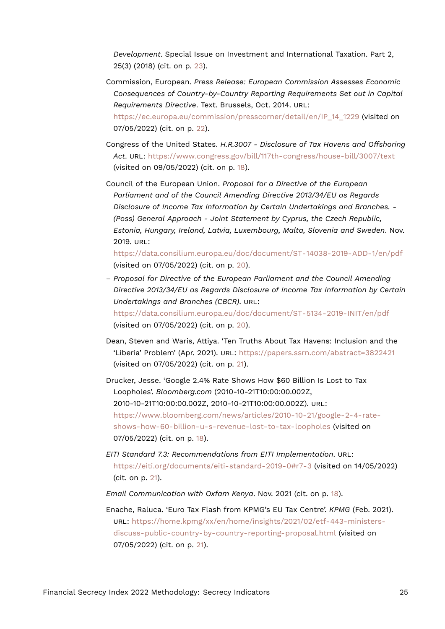*Development*. Special Issue on Investment and International Taxation. Part 2, 25(3) (2018) (cit. on p. [23\)](#page-22-10).

Commission, European. *Press Release: European Commission Assesses Economic Consequences of Country-by-Country Reporting Requirements Set out in Capital Requirements Directive*. Text. Brussels, Oct. 2014. URL:

[https://ec.europa.eu/commission/presscorner/detail/en/IP\\_14\\_1229](https://ec.europa.eu/commission/presscorner/detail/en/IP_14_1229) (visited on 07/05/2022) (cit. on p. [22](#page-21-15)).

- Congress of the United States. *H.R.3007 Disclosure of Tax Havens and Offshoring Act*. URL: <https://www.congress.gov/bill/117th-congress/house-bill/3007/text> (visited on 09/05/2022) (cit. on p. [18\)](#page-17-17).
- Council of the European Union. *Proposal for a Directive of the European Parliament and of the Council Amending Directive 2013/34/EU as Regards Disclosure of Income Tax Information by Certain Undertakings and Branches. - (Poss) General Approach - Joint Statement by Cyprus, the Czech Republic, Estonia, Hungary, Ireland, Latvia, Luxembourg, Malta, Slovenia and Sweden*. Nov. 2019. URL:

<https://data.consilium.europa.eu/doc/document/ST-14038-2019-ADD-1/en/pdf> (visited on 07/05/2022) (cit. on p. [20\)](#page-19-18).

- *Proposal for Directive of the European Parliament and the Council Amending Directive 2013/34/EU as Regards Disclosure of Income Tax Information by Certain Undertakings and Branches (CBCR)*. URL: <https://data.consilium.europa.eu/doc/document/ST-5134-2019-INIT/en/pdf> (visited on 07/05/2022) (cit. on p. [20\)](#page-19-18).
- Dean, Steven and Waris, Attiya. 'Ten Truths About Tax Havens: Inclusion and the 'Liberia' Problem' (Apr. 2021). URL: <https://papers.ssrn.com/abstract=3822421> (visited on 07/05/2022) (cit. on p. [21](#page-20-16)).
- Drucker, Jesse. 'Google 2.4% Rate Shows How \$60 Billion Is Lost to Tax Loopholes'. *Bloomberg.com* (2010-10-21T10:00:00.002Z, 2010-10-21T10:00:00.002Z, 2010-10-21T10:00:00.002Z). URL: [https://www.bloomberg.com/news/articles/2010-10-21/google-2-4-rate](https://www.bloomberg.com/news/articles/2010-10-21/google-2-4-rate-shows-how-60-billion-u-s-revenue-lost-to-tax-loopholes)[shows-how-60-billion-u-s-revenue-lost-to-tax-loopholes](https://www.bloomberg.com/news/articles/2010-10-21/google-2-4-rate-shows-how-60-billion-u-s-revenue-lost-to-tax-loopholes) (visited on 07/05/2022) (cit. on p. [18\)](#page-17-17).
- *EITI Standard 7.3: Recommendations from EITI Implementation*. URL: <https://eiti.org/documents/eiti-standard-2019-0#r7-3> (visited on 14/05/2022) (cit. on p. [21](#page-20-16)).

*Email Communication with Oxfam Kenya*. Nov. 2021 (cit. on p. [18\)](#page-17-17).

Enache, Raluca. 'Euro Tax Flash from KPMG's EU Tax Centre'. *KPMG* (Feb. 2021). URL: [https://home.kpmg/xx/en/home/insights/2021/02/etf-443-ministers](https://home.kpmg/xx/en/home/insights/2021/02/etf-443-ministers-discuss-public-country-by-country-reporting-proposal.html)[discuss-public-country-by-country-reporting-proposal.html](https://home.kpmg/xx/en/home/insights/2021/02/etf-443-ministers-discuss-public-country-by-country-reporting-proposal.html) (visited on 07/05/2022) (cit. on p. [21](#page-20-16)).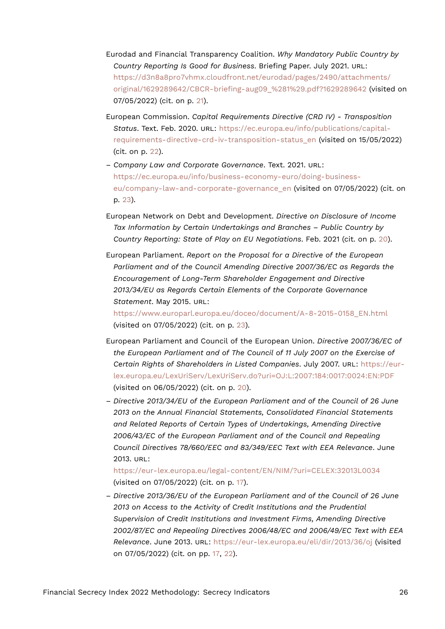- Eurodad and Financial Transparency Coalition. *Why Mandatory Public Country by Country Reporting Is Good for Business*. Briefing Paper. July 2021. URL: [https://d3n8a8pro7vhmx.cloudfront.net/eurodad/pages/2490/attachments/](https://d3n8a8pro7vhmx.cloudfront.net/eurodad/pages/2490/attachments/original/1629289642/CBCR-briefing-aug09_%281%29.pdf?1629289642) original/1629289642/CBCR-briefing-aug09 %281%29.pdf?1629289642 (visited on 07/05/2022) (cit. on p. [21](#page-20-16)).
- European Commission. *Capital Requirements Directive (CRD IV) Transposition Status*. Text. Feb. 2020. URL: [https://ec.europa.eu/info/publications/capital](https://ec.europa.eu/info/publications/capital-requirements-directive-crd-iv-transposition-status_en)[requirements-directive-crd-iv-transposition-status\\_en](https://ec.europa.eu/info/publications/capital-requirements-directive-crd-iv-transposition-status_en) (visited on 15/05/2022) (cit. on p. [22](#page-21-15)).
- *Company Law and Corporate Governance*. Text. 2021. URL: [https://ec.europa.eu/info/business-economy-euro/doing-business](https://ec.europa.eu/info/business-economy-euro/doing-business-eu/company-law-and-corporate-governance_en)[eu/company-law-and-corporate-governance\\_en](https://ec.europa.eu/info/business-economy-euro/doing-business-eu/company-law-and-corporate-governance_en) (visited on 07/05/2022) (cit. on p. [23](#page-22-10)).
- European Network on Debt and Development. *Directive on Disclosure of Income Tax Information by Certain Undertakings and Branches – Public Country by Country Reporting: State of Play on EU Negotiations*. Feb. 2021 (cit. on p. [20\)](#page-19-18).
- European Parliament. *Report on the Proposal for a Directive of the European Parliament and of the Council Amending Directive 2007/36/EC as Regards the Encouragement of Long-Term Shareholder Engagement and Directive 2013/34/EU as Regards Certain Elements of the Corporate Governance Statement*. May 2015. URL:

[https://www.europarl.europa.eu/doceo/document/A-8-2015-0158\\_EN.html](https://www.europarl.europa.eu/doceo/document/A-8-2015-0158_EN.html) (visited on 07/05/2022) (cit. on p. [23](#page-22-10)).

- European Parliament and Council of the European Union. *Directive 2007/36/EC of the European Parliament and of The Council of 11 July 2007 on the Exercise of Certain Rights of Shareholders in Listed Companies*. July 2007. URL: [https://eur](https://eur-lex.europa.eu/LexUriServ/LexUriServ.do?uri=OJ:L:2007:184:0017:0024:EN:PDF)[lex.europa.eu/LexUriServ/LexUriServ.do?uri=OJ:L:2007:184:0017:0024:EN:PDF](https://eur-lex.europa.eu/LexUriServ/LexUriServ.do?uri=OJ:L:2007:184:0017:0024:EN:PDF) (visited on 06/05/2022) (cit. on p. [20\)](#page-19-18).
- *Directive 2013/34/EU of the European Parliament and of the Council of 26 June 2013 on the Annual Financial Statements, Consolidated Financial Statements and Related Reports of Certain Types of Undertakings, Amending Directive 2006/43/EC of the European Parliament and of the Council and Repealing Council Directives 78/660/EEC and 83/349/EEC Text with EEA Relevance*. June 2013. URL:

<https://eur-lex.europa.eu/legal-content/EN/NIM/?uri=CELEX:32013L0034> (visited on 07/05/2022) (cit. on p. [17](#page-16-13)).

– *Directive 2013/36/EU of the European Parliament and of the Council of 26 June 2013 on Access to the Activity of Credit Institutions and the Prudential Supervision of Credit Institutions and Investment Firms, Amending Directive 2002/87/EC and Repealing Directives 2006/48/EC and 2006/49/EC Text with EEA Relevance*. June 2013. URL: <https://eur-lex.europa.eu/eli/dir/2013/36/oj> (visited on 07/05/2022) (cit. on pp. [17,](#page-16-13) [22\)](#page-21-15).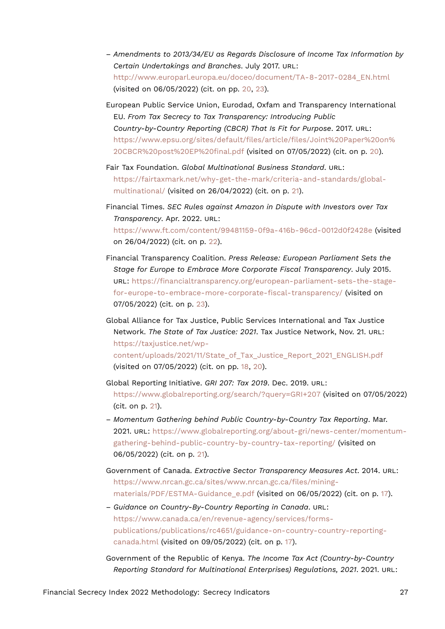- *Amendments to 2013/34/EU as Regards Disclosure of Income Tax Information by Certain Undertakings and Branches*. July 2017. URL: [http://www.europarl.europa.eu/doceo/document/TA-8-2017-0284\\_EN.html](http://www.europarl.europa.eu/doceo/document/TA-8-2017-0284_EN.html) (visited on 06/05/2022) (cit. on pp. [20](#page-19-18), [23\)](#page-22-10).
- European Public Service Union, Eurodad, Oxfam and Transparency International EU. *From Tax Secrecy to Tax Transparency: Introducing Public Country-by-Country Reporting (CBCR) That Is Fit for Purpose*. 2017. URL: [https://www.epsu.org/sites/default/files/article/files/Joint%20Paper%20on%](https://www.epsu.org/sites/default/files/article/files/Joint%20Paper%20on%20CBCR%20post%20EP%20final.pdf) [20CBCR%20post%20EP%20final.pdf](https://www.epsu.org/sites/default/files/article/files/Joint%20Paper%20on%20CBCR%20post%20EP%20final.pdf) (visited on 07/05/2022) (cit. on p. [20\)](#page-19-18).
- Fair Tax Foundation. *Global Multinational Business Standard*. URL: [https://fairtaxmark.net/why-get-the-mark/criteria-and-standards/global](https://fairtaxmark.net/why-get-the-mark/criteria-and-standards/global-multinational/)[multinational/](https://fairtaxmark.net/why-get-the-mark/criteria-and-standards/global-multinational/) (visited on 26/04/2022) (cit. on p. [21](#page-20-16)).
- Financial Times. *SEC Rules against Amazon in Dispute with Investors over Tax Transparency*. Apr. 2022. URL: <https://www.ft.com/content/99481159-0f9a-416b-96cd-0012d0f2428e> (visited on 26/04/2022) (cit. on p. [22\)](#page-21-15).
- Financial Transparency Coalition. *Press Release: European Parliament Sets the Stage for Europe to Embrace More Corporate Fiscal Transparency*. July 2015. URL: [https://financialtransparency.org/european-parliament-sets-the-stage](https://financialtransparency.org/european-parliament-sets-the-stage-for-europe-to-embrace-more-corporate-fiscal-transparency/)[for-europe-to-embrace-more-corporate-fiscal-transparency/](https://financialtransparency.org/european-parliament-sets-the-stage-for-europe-to-embrace-more-corporate-fiscal-transparency/) (visited on 07/05/2022) (cit. on p. [23](#page-22-10)).
- Global Alliance for Tax Justice, Public Services International and Tax Justice Network. *The State of Tax Justice: 2021*. Tax Justice Network, Nov. 21. URL: [https://taxjustice.net/wp](https://taxjustice.net/wp-content/uploads/2021/11/State_of_Tax_Justice_Report_2021_ENGLISH.pdf)[content/uploads/2021/11/State\\_of\\_Tax\\_Justice\\_Report\\_2021\\_ENGLISH.pdf](https://taxjustice.net/wp-content/uploads/2021/11/State_of_Tax_Justice_Report_2021_ENGLISH.pdf) (visited on 07/05/2022) (cit. on pp. [18,](#page-17-17) [20\)](#page-19-18).
- Global Reporting Initiative. *GRI 207: Tax 2019*. Dec. 2019. URL: <https://www.globalreporting.org/search/?query=GRI+207> (visited on 07/05/2022) (cit. on p. [21](#page-20-16)).
- *Momentum Gathering behind Public Country-by-Country Tax Reporting*. Mar. 2021. URL: [https://www.globalreporting.org/about-gri/news-center/momentum](https://www.globalreporting.org/about-gri/news-center/momentum-gathering-behind-public-country-by-country-tax-reporting/)[gathering-behind-public-country-by-country-tax-reporting/](https://www.globalreporting.org/about-gri/news-center/momentum-gathering-behind-public-country-by-country-tax-reporting/) (visited on 06/05/2022) (cit. on p. [21\)](#page-20-16).
- Government of Canada. *Extractive Sector Transparency Measures Act*. 2014. URL: [https://www.nrcan.gc.ca/sites/www.nrcan.gc.ca/files/mining](https://www.nrcan.gc.ca/sites/www.nrcan.gc.ca/files/mining-materials/PDF/ESTMA-Guidance_e.pdf)[materials/PDF/ESTMA-Guidance\\_e.pdf](https://www.nrcan.gc.ca/sites/www.nrcan.gc.ca/files/mining-materials/PDF/ESTMA-Guidance_e.pdf) (visited on 06/05/2022) (cit. on p. [17](#page-16-13)).
- *Guidance on Country-By-Country Reporting in Canada*. URL: [https://www.canada.ca/en/revenue-agency/services/forms](https://www.canada.ca/en/revenue-agency/services/forms-publications/publications/rc4651/guidance-on-country-country-reporting-canada.html)[publications/publications/rc4651/guidance-on-country-country-reporting](https://www.canada.ca/en/revenue-agency/services/forms-publications/publications/rc4651/guidance-on-country-country-reporting-canada.html)[canada.html](https://www.canada.ca/en/revenue-agency/services/forms-publications/publications/rc4651/guidance-on-country-country-reporting-canada.html) (visited on 09/05/2022) (cit. on p. [17](#page-16-13)).
- Government of the Republic of Kenya. *The Income Tax Act (Country-by-Country Reporting Standard for Multinational Enterprises) Regulations, 2021*. 2021. URL: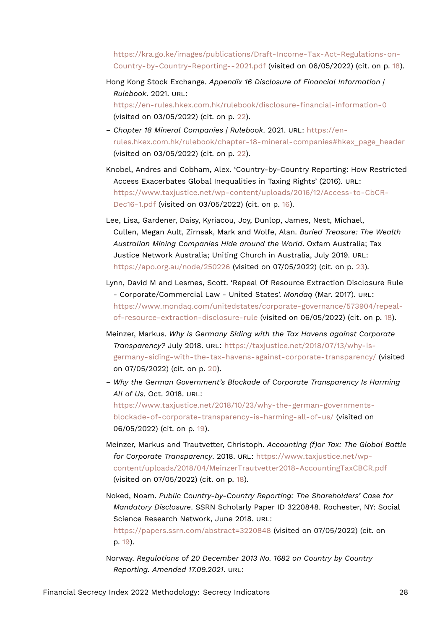[https://kra.go.ke/images/publications/Draft-Income-Tax-Act-Regulations-on-](https://kra.go.ke/images/publications/Draft-Income-Tax-Act-Regulations-on-Country-by-Country-Reporting--2021.pdf)[Country-by-Country-Reporting--2021.pdf](https://kra.go.ke/images/publications/Draft-Income-Tax-Act-Regulations-on-Country-by-Country-Reporting--2021.pdf) (visited on 06/05/2022) (cit. on p. [18](#page-17-17)).

- Hong Kong Stock Exchange. *Appendix 16 Disclosure of Financial Information | Rulebook*. 2021. URL: <https://en-rules.hkex.com.hk/rulebook/disclosure-financial-information-0> (visited on 03/05/2022) (cit. on p. [22](#page-21-15)).
- *Chapter 18 Mineral Companies | Rulebook*. 2021. URL: [https://en](https://en-rules.hkex.com.hk/rulebook/chapter-18-mineral-companies#hkex_page_header)[rules.hkex.com.hk/rulebook/chapter-18-mineral-companies#hkex\\_page\\_header](https://en-rules.hkex.com.hk/rulebook/chapter-18-mineral-companies#hkex_page_header) (visited on 03/05/2022) (cit. on p. [22](#page-21-15)).
- Knobel, Andres and Cobham, Alex. 'Country-by-Country Reporting: How Restricted Access Exacerbates Global Inequalities in Taxing Rights' (2016). URL: [https://www.taxjustice.net/wp-content/uploads/2016/12/Access-to-CbCR-](https://www.taxjustice.net/wp-content/uploads/2016/12/Access-to-CbCR-Dec16-1.pdf)[Dec16-1.pdf](https://www.taxjustice.net/wp-content/uploads/2016/12/Access-to-CbCR-Dec16-1.pdf) (visited on 03/05/2022) (cit. on p. [16\)](#page-15-17).
- Lee, Lisa, Gardener, Daisy, Kyriacou, Joy, Dunlop, James, Nest, Michael, Cullen, Megan Ault, Zirnsak, Mark and Wolfe, Alan. *Buried Treasure: The Wealth Australian Mining Companies Hide around the World*. Oxfam Australia; Tax Justice Network Australia; Uniting Church in Australia, July 2019. URL: <https://apo.org.au/node/250226> (visited on 07/05/2022) (cit. on p. [23\)](#page-22-10).
- Lynn, David M and Lesmes, Scott. 'Repeal Of Resource Extraction Disclosure Rule - Corporate/Commercial Law - United States'. *Mondaq* (Mar. 2017). URL: [https://www.mondaq.com/unitedstates/corporate-governance/573904/repeal](https://www.mondaq.com/unitedstates/corporate-governance/573904/repeal-of-resource-extraction-disclosure-rule)[of-resource-extraction-disclosure-rule](https://www.mondaq.com/unitedstates/corporate-governance/573904/repeal-of-resource-extraction-disclosure-rule) (visited on 06/05/2022) (cit. on p. [18](#page-17-17)).
- Meinzer, Markus. *Why Is Germany Siding with the Tax Havens against Corporate Transparency?* July 2018. URL: [https://taxjustice.net/2018/07/13/why-is](https://taxjustice.net/2018/07/13/why-is-germany-siding-with-the-tax-havens-against-corporate-transparency/)[germany-siding-with-the-tax-havens-against-corporate-transparency/](https://taxjustice.net/2018/07/13/why-is-germany-siding-with-the-tax-havens-against-corporate-transparency/) (visited on 07/05/2022) (cit. on p. [20](#page-19-18)).
- *Why the German Government's Blockade of Corporate Transparency Is Harming All of Us*. Oct. 2018. URL: [https://www.taxjustice.net/2018/10/23/why-the-german-governments](https://www.taxjustice.net/2018/10/23/why-the-german-governments-blockade-of-corporate-transparency-is-harming-all-of-us/)[blockade-of-corporate-transparency-is-harming-all-of-us/](https://www.taxjustice.net/2018/10/23/why-the-german-governments-blockade-of-corporate-transparency-is-harming-all-of-us/) (visited on 06/05/2022) (cit. on p. [19\)](#page-18-20).
- Meinzer, Markus and Trautvetter, Christoph. *Accounting (f)or Tax: The Global Battle for Corporate Transparency*. 2018. URL: [https://www.taxjustice.net/wp](https://www.taxjustice.net/wp-content/uploads/2018/04/MeinzerTrautvetter2018-AccountingTaxCBCR.pdf)[content/uploads/2018/04/MeinzerTrautvetter2018-AccountingTaxCBCR.pdf](https://www.taxjustice.net/wp-content/uploads/2018/04/MeinzerTrautvetter2018-AccountingTaxCBCR.pdf) (visited on 07/05/2022) (cit. on p. [18\)](#page-17-17).
- Noked, Noam. *Public Country-by-Country Reporting: The Shareholders' Case for Mandatory Disclosure*. SSRN Scholarly Paper ID 3220848. Rochester, NY: Social Science Research Network, June 2018. URL: <https://papers.ssrn.com/abstract=3220848> (visited on 07/05/2022) (cit. on
	- p. [19\)](#page-18-20).
- Norway. *Regulations of 20 December 2013 No. 1682 on Country by Country Reporting. Amended 17.09.2021*. URL: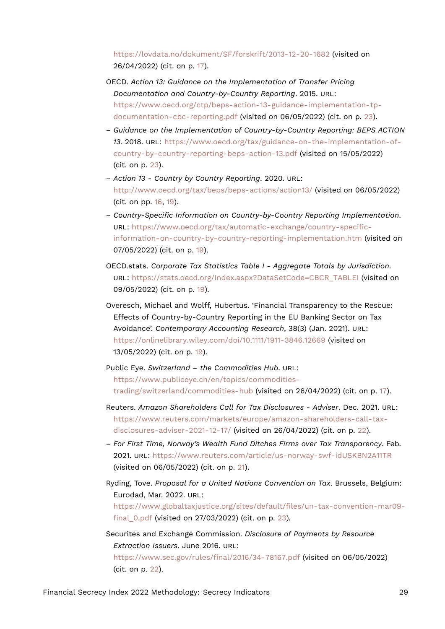<https://lovdata.no/dokument/SF/forskrift/2013-12-20-1682> (visited on 26/04/2022) (cit. on p. [17](#page-16-13)).

- OECD. *Action 13: Guidance on the Implementation of Transfer Pricing Documentation and Country-by-Country Reporting*. 2015. URL: [https://www.oecd.org/ctp/beps-action-13-guidance-implementation-tp](https://www.oecd.org/ctp/beps-action-13-guidance-implementation-tp-documentation-cbc-reporting.pdf)[documentation-cbc-reporting.pdf](https://www.oecd.org/ctp/beps-action-13-guidance-implementation-tp-documentation-cbc-reporting.pdf) (visited on 06/05/2022) (cit. on p. [23](#page-22-10)).
- *Guidance on the Implementation of Country-by-Country Reporting: BEPS ACTION 13*. 2018. URL: [https://www.oecd.org/tax/guidance-on-the-implementation-of](https://www.oecd.org/tax/guidance-on-the-implementation-of-country-by-country-reporting-beps-action-13.pdf)[country-by-country-reporting-beps-action-13.pdf](https://www.oecd.org/tax/guidance-on-the-implementation-of-country-by-country-reporting-beps-action-13.pdf) (visited on 15/05/2022) (cit. on p. [23](#page-22-10)).
- *Action 13 Country by Country Reporting*. 2020. URL: <http://www.oecd.org/tax/beps/beps-actions/action13/> (visited on 06/05/2022) (cit. on pp. [16,](#page-15-17) [19](#page-18-20)).
- *Country-Specific Information on Country-by-Country Reporting Implementation*. URL: [https://www.oecd.org/tax/automatic-exchange/country-specific](https://www.oecd.org/tax/automatic-exchange/country-specific-information-on-country-by-country-reporting-implementation.htm)[information-on-country-by-country-reporting-implementation.htm](https://www.oecd.org/tax/automatic-exchange/country-specific-information-on-country-by-country-reporting-implementation.htm) (visited on 07/05/2022) (cit. on p. [19\)](#page-18-20).
- OECD.stats. *Corporate Tax Statistics Table I Aggregate Totals by Jurisdiction*. URL: [https://stats.oecd.org/Index.aspx?DataSetCode=CBCR\\_TABLEI](https://stats.oecd.org/Index.aspx?DataSetCode=CBCR_TABLEI) (visited on 09/05/2022) (cit. on p. [19\)](#page-18-20).
- Overesch, Michael and Wolff, Hubertus. 'Financial Transparency to the Rescue: Effects of Country-by-Country Reporting in the EU Banking Sector on Tax Avoidance'. *Contemporary Accounting Research*, 38(3) (Jan. 2021). URL: <https://onlinelibrary.wiley.com/doi/10.1111/1911-3846.12669> (visited on 13/05/2022) (cit. on p. [19](#page-18-20)).
- Public Eye. *Switzerland the Commodities Hub*. URL: [https://www.publiceye.ch/en/topics/commodities](https://www.publiceye.ch/en/topics/commodities-trading/switzerland/commodities-hub)[trading/switzerland/commodities-hub](https://www.publiceye.ch/en/topics/commodities-trading/switzerland/commodities-hub) (visited on 26/04/2022) (cit. on p. [17\)](#page-16-13).
- Reuters. *Amazon Shareholders Call for Tax Disclosures Adviser*. Dec. 2021. URL: [https://www.reuters.com/markets/europe/amazon-shareholders-call-tax](https://www.reuters.com/markets/europe/amazon-shareholders-call-tax-disclosures-adviser-2021-12-17/)[disclosures-adviser-2021-12-17/](https://www.reuters.com/markets/europe/amazon-shareholders-call-tax-disclosures-adviser-2021-12-17/) (visited on 26/04/2022) (cit. on p. [22](#page-21-15)).
- *For First Time, Norway's Wealth Fund Ditches Firms over Tax Transparency*. Feb. 2021. URL: <https://www.reuters.com/article/us-norway-swf-idUSKBN2A11TR> (visited on 06/05/2022) (cit. on p. [21\)](#page-20-16).
- Ryding, Tove. *Proposal for a United Nations Convention on Tax*. Brussels, Belgium: Eurodad, Mar. 2022. URL: [https://www.globaltaxjustice.org/sites/default/files/un-tax-convention-mar09](https://www.globaltaxjustice.org/sites/default/files/un-tax-convention-mar09-final_0.pdf) [final\\_0.pdf](https://www.globaltaxjustice.org/sites/default/files/un-tax-convention-mar09-final_0.pdf) (visited on 27/03/2022) (cit. on p. [23](#page-22-10)).
- Securites and Exchange Commission. *Disclosure of Payments by Resource Extraction Issuers*. June 2016. URL: <https://www.sec.gov/rules/final/2016/34-78167.pdf> (visited on 06/05/2022)

(cit. on p. [22](#page-21-15)).